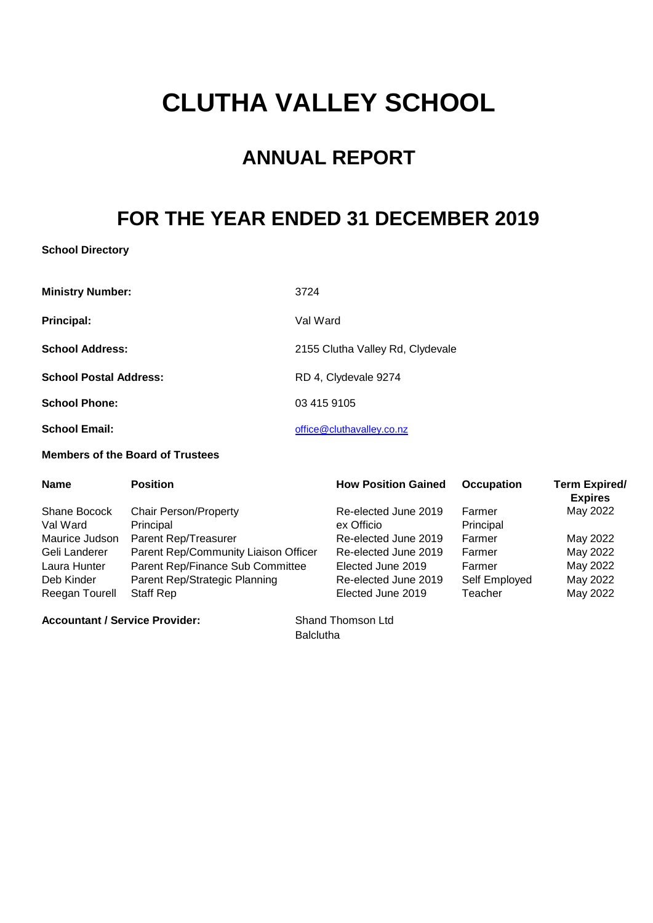# **CLUTHA VALLEY SCHOOL**

# **ANNUAL REPORT**

# **FOR THE YEAR ENDED 31 DECEMBER 2019**

#### **School Directory**

| <b>Ministry Number:</b>       | 3724                             |
|-------------------------------|----------------------------------|
| Principal:                    | Val Ward                         |
| <b>School Address:</b>        | 2155 Clutha Valley Rd, Clydevale |
| <b>School Postal Address:</b> | RD 4, Clydevale 9274             |
| <b>School Phone:</b>          | 03 415 9105                      |
| <b>School Email:</b>          | office@cluthavalley.co.nz        |

#### **Members of the Board of Trustees**

| <b>Name</b>    | <b>Position</b>                      | <b>How Position Gained</b> | <b>Occupation</b> | <b>Term Expired/</b><br><b>Expires</b> |
|----------------|--------------------------------------|----------------------------|-------------------|----------------------------------------|
| Shane Bocock   | <b>Chair Person/Property</b>         | Re-elected June 2019       | Farmer            | May 2022                               |
| Val Ward       | Principal                            | ex Officio                 | Principal         |                                        |
| Maurice Judson | Parent Rep/Treasurer                 | Re-elected June 2019       | Farmer            | May 2022                               |
| Geli Landerer  | Parent Rep/Community Liaison Officer | Re-elected June 2019       | Farmer            | May 2022                               |
| Laura Hunter   | Parent Rep/Finance Sub Committee     | Elected June 2019          | Farmer            | May 2022                               |
| Deb Kinder     | Parent Rep/Strategic Planning        | Re-elected June 2019       | Self Employed     | May 2022                               |
| Reegan Tourell | Staff Rep                            | Elected June 2019          | Teacher           | May 2022                               |

Accountant / Service Provider: Shand Thomson Ltd

**Balclutha**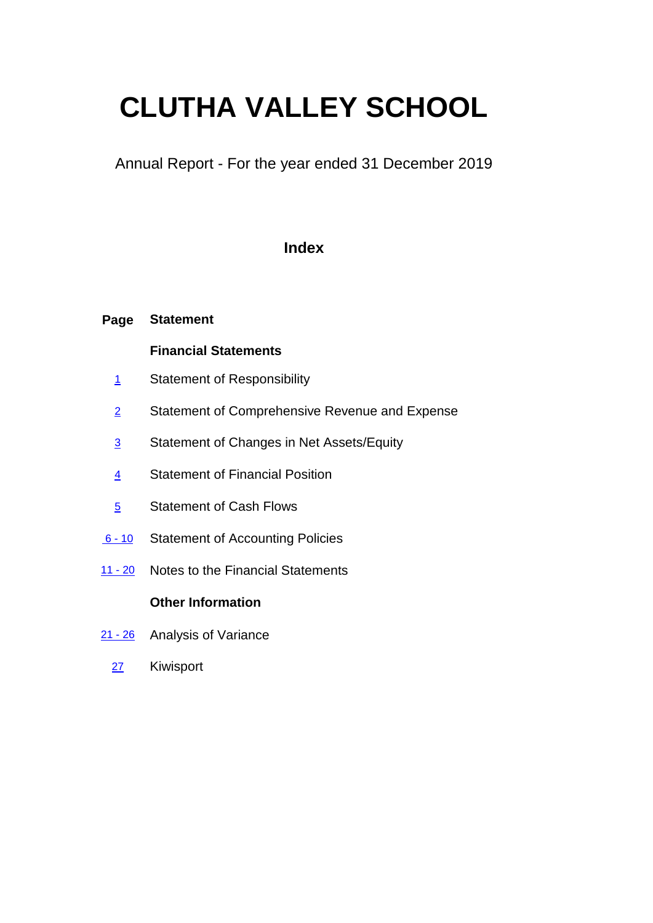# **CLUTHA VALLEY SCHOOL**

Annual Report - For the year ended 31 December 2019

### **Index**

#### **Page Statement**

#### **Financial Statements**

- 1 Statement of Responsibility
- 2 Statement of Comprehensive Revenue and Expense
- 3 Statement of Changes in Net Assets/Equity
- 4 Statement of Financial Position
- 5 Statement of Cash Flows
- $6 10$ Statement of Accounting Policies
- 11 20 Notes to the Financial Statements

#### **Other Information**

- 21 26 Analysis of Variance
	- 27 Kiwisport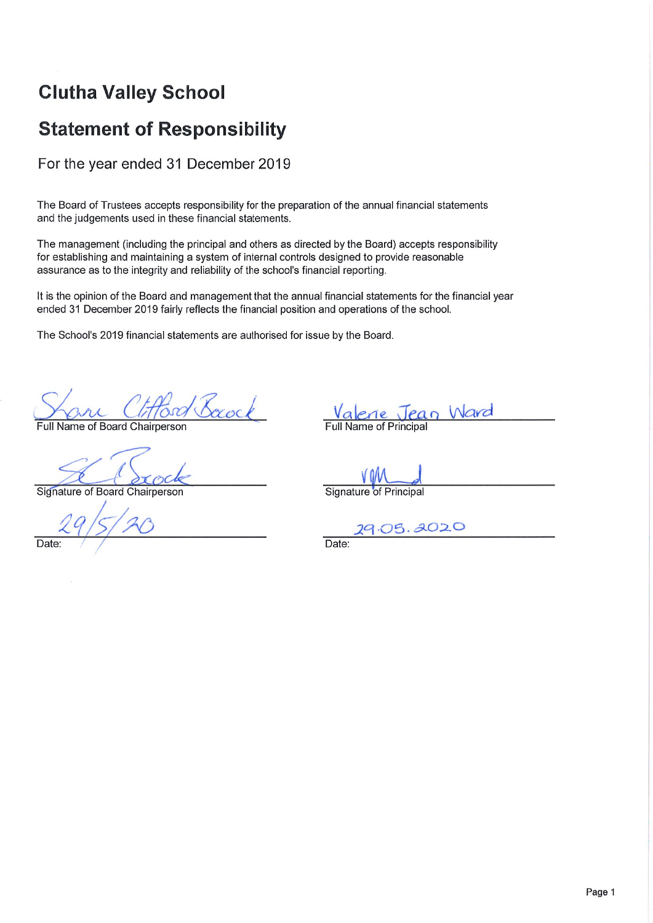### **Clutha Valley School**

### **Statement of Responsibility**

For the year ended 31 December 2019

The Board of Trustees accepts responsibility for the preparation of the annual financial statements and the judgements used in these financial statements.

The management (including the principal and others as directed by the Board) accepts responsibility for establishing and maintaining a system of internal controls designed to provide reasonable assurance as to the integrity and reliability of the school's financial reporting.

It is the opinion of the Board and management that the annual financial statements for the financial year ended 31 December 2019 fairly reflects the financial position and operations of the school.

The School's 2019 financial statements are authorised for issue by the Board.

Cord Boxock

Full Name of Board Chairperson

Signature of Board Chairperson

Date

Valerie Jean Ward

Signature of Principal

 $-05.3020$ 

Date: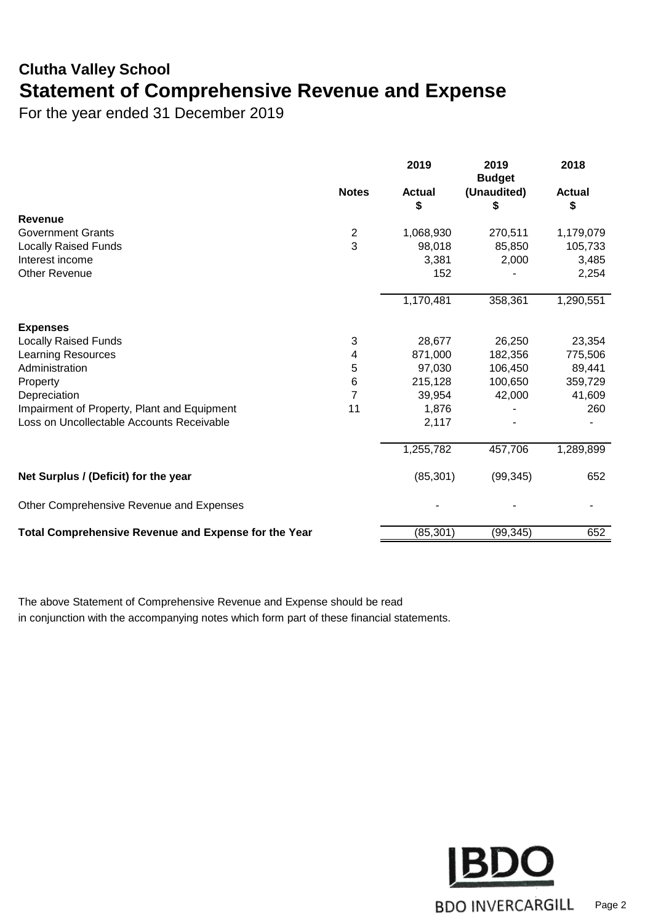### **Clutha Valley School Statement of Comprehensive Revenue and Expense**

For the year ended 31 December 2019

|                                                      |                         | 2019               | 2019<br><b>Budget</b> | 2018                |
|------------------------------------------------------|-------------------------|--------------------|-----------------------|---------------------|
|                                                      | <b>Notes</b>            | <b>Actual</b><br>S | (Unaudited)<br>\$     | <b>Actual</b><br>\$ |
| Revenue                                              |                         |                    |                       |                     |
| <b>Government Grants</b>                             | $\overline{\mathbf{c}}$ | 1,068,930          | 270,511               | 1,179,079           |
| Locally Raised Funds                                 | 3                       | 98,018             | 85,850                | 105,733             |
| Interest income                                      |                         | 3,381              | 2,000                 | 3,485               |
| <b>Other Revenue</b>                                 |                         | 152                |                       | 2,254               |
|                                                      |                         | 1,170,481          | 358,361               | 1,290,551           |
| <b>Expenses</b>                                      |                         |                    |                       |                     |
| <b>Locally Raised Funds</b>                          | 3                       | 28,677             | 26,250                | 23,354              |
| <b>Learning Resources</b>                            | 4                       | 871,000            | 182,356               | 775,506             |
| Administration                                       | 5                       | 97,030             | 106,450               | 89,441              |
| Property                                             | $\,6$                   | 215,128            | 100,650               | 359,729             |
| Depreciation                                         | $\overline{7}$          | 39,954             | 42,000                | 41,609              |
| Impairment of Property, Plant and Equipment          | 11                      | 1,876              |                       | 260                 |
| Loss on Uncollectable Accounts Receivable            |                         | 2,117              |                       |                     |
|                                                      |                         | 1,255,782          | 457,706               | 1,289,899           |
| Net Surplus / (Deficit) for the year                 |                         | (85, 301)          | (99, 345)             | 652                 |
| Other Comprehensive Revenue and Expenses             |                         |                    |                       |                     |
| Total Comprehensive Revenue and Expense for the Year |                         | (85, 301)          | (99, 345)             | 652                 |

The above Statement of Comprehensive Revenue and Expense should be read in conjunction with the accompanying notes which form part of these financial statements.

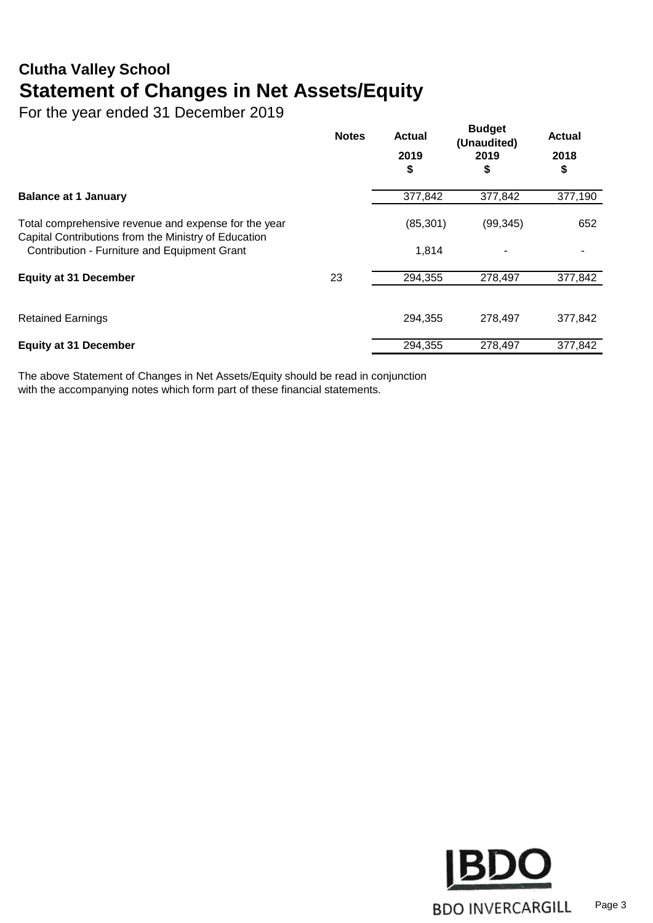### **Clutha Valley School Statement of Changes in Net Assets/Equity**

For the year ended 31 December 2019

|                                                                                                              | <b>Notes</b> | <b>Actual</b><br>2019<br>\$ | <b>Budget</b><br>(Unaudited)<br>2019<br>\$ | <b>Actual</b><br>2018<br>\$ |
|--------------------------------------------------------------------------------------------------------------|--------------|-----------------------------|--------------------------------------------|-----------------------------|
| <b>Balance at 1 January</b>                                                                                  |              | 377,842                     | 377,842                                    | 377,190                     |
| Total comprehensive revenue and expense for the year<br>Capital Contributions from the Ministry of Education |              | (85, 301)                   | (99, 345)                                  | 652                         |
| Contribution - Furniture and Equipment Grant                                                                 |              | 1,814                       |                                            |                             |
| <b>Equity at 31 December</b>                                                                                 | 23           | 294,355                     | 278,497                                    | 377,842                     |
| <b>Retained Earnings</b>                                                                                     |              | 294,355                     | 278.497                                    | 377,842                     |
| <b>Equity at 31 December</b>                                                                                 |              | 294,355                     | 278,497                                    | 377,842                     |

The above Statement of Changes in Net Assets/Equity should be read in conjunction with the accompanying notes which form part of these financial statements.

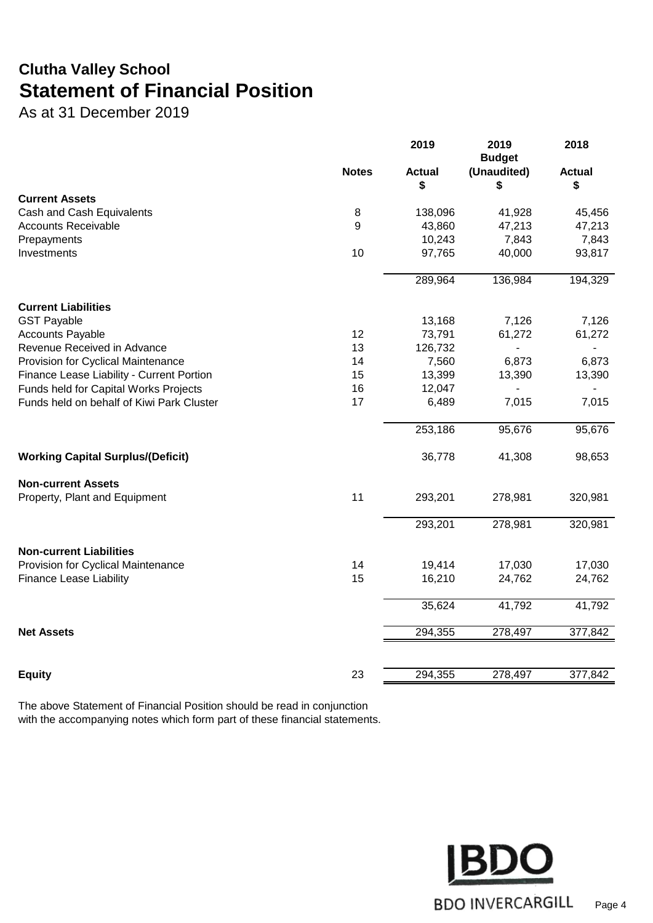### **Clutha Valley School Statement of Financial Position**

As at 31 December 2019

|                                           |              | 2019                | 2019<br><b>Budget</b> | 2018                |
|-------------------------------------------|--------------|---------------------|-----------------------|---------------------|
|                                           | <b>Notes</b> | <b>Actual</b><br>\$ | (Unaudited)<br>\$     | <b>Actual</b><br>\$ |
| <b>Current Assets</b>                     |              |                     |                       |                     |
| Cash and Cash Equivalents                 | 8            | 138,096             | 41,928                | 45,456              |
| <b>Accounts Receivable</b>                | 9            | 43,860              | 47,213                | 47,213              |
| Prepayments                               |              | 10,243              | 7,843                 | 7,843               |
| Investments                               | 10           | 97,765              | 40,000                | 93,817              |
|                                           |              | 289,964             | 136,984               | 194,329             |
| <b>Current Liabilities</b>                |              |                     |                       |                     |
| <b>GST Payable</b>                        |              | 13,168              | 7,126                 | 7,126               |
| <b>Accounts Payable</b>                   | 12           | 73,791              | 61,272                | 61,272              |
| Revenue Received in Advance               | 13           | 126,732             | $\blacksquare$        |                     |
| Provision for Cyclical Maintenance        | 14           | 7,560               | 6,873                 | 6,873               |
| Finance Lease Liability - Current Portion | 15           | 13,399              | 13,390                | 13,390              |
| Funds held for Capital Works Projects     | 16           | 12,047              |                       |                     |
| Funds held on behalf of Kiwi Park Cluster | 17           | 6,489               | 7,015                 | 7,015               |
|                                           |              | 253,186             | 95,676                | 95,676              |
| <b>Working Capital Surplus/(Deficit)</b>  |              | 36,778              | 41,308                | 98,653              |
| <b>Non-current Assets</b>                 |              |                     |                       |                     |
| Property, Plant and Equipment             | 11           | 293,201             | 278,981               | 320,981             |
|                                           |              | 293,201             | 278,981               | 320,981             |
| <b>Non-current Liabilities</b>            |              |                     |                       |                     |
| Provision for Cyclical Maintenance        | 14           | 19,414              | 17,030                | 17,030              |
| <b>Finance Lease Liability</b>            | 15           | 16,210              | 24,762                | 24,762              |
|                                           |              | 35,624              | 41,792                | 41,792              |
| <b>Net Assets</b>                         |              | 294,355             | 278,497               | 377,842             |
|                                           |              |                     |                       |                     |
| <b>Equity</b>                             | 23           | 294,355             | 278,497               | 377,842             |

The above Statement of Financial Position should be read in conjunction with the accompanying notes which form part of these financial statements.

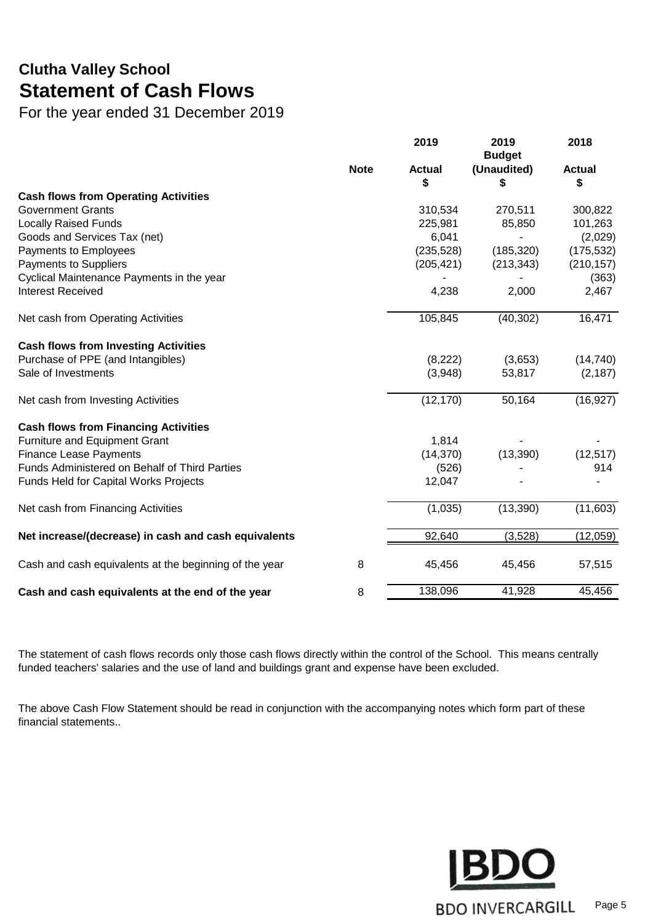### **Clutha Valley School Statement of Cash Flows**

For the year ended 31 December 2019

|                                                        |             | 2019                | 2019<br><b>Budget</b> | 2018                |
|--------------------------------------------------------|-------------|---------------------|-----------------------|---------------------|
|                                                        | <b>Note</b> | <b>Actual</b><br>\$ | (Unaudited)<br>\$     | <b>Actual</b><br>\$ |
| <b>Cash flows from Operating Activities</b>            |             |                     |                       |                     |
| <b>Government Grants</b>                               |             | 310,534             | 270,511               | 300,822             |
| <b>Locally Raised Funds</b>                            |             | 225,981             | 85,850                | 101,263             |
| Goods and Services Tax (net)                           |             | 6,041               |                       | (2,029)             |
| Payments to Employees                                  |             | (235, 528)          | (185, 320)            | (175, 532)          |
| <b>Payments to Suppliers</b>                           |             | (205, 421)          | (213, 343)            | (210, 157)          |
| Cyclical Maintenance Payments in the year              |             |                     |                       | (363)               |
| <b>Interest Received</b>                               |             | 4,238               | 2,000                 | 2,467               |
| Net cash from Operating Activities                     |             | 105,845             | (40, 302)             | 16,471              |
| <b>Cash flows from Investing Activities</b>            |             |                     |                       |                     |
| Purchase of PPE (and Intangibles)                      |             | (8,222)             | (3,653)               | (14, 740)           |
| Sale of Investments                                    |             | (3,948)             | 53,817                | (2, 187)            |
| Net cash from Investing Activities                     |             | (12, 170)           | 50,164                | (16, 927)           |
| <b>Cash flows from Financing Activities</b>            |             |                     |                       |                     |
| <b>Furniture and Equipment Grant</b>                   |             | 1,814               |                       |                     |
| <b>Finance Lease Payments</b>                          |             | (14, 370)           | (13, 390)             | (12, 517)           |
| Funds Administered on Behalf of Third Parties          |             | (526)               |                       | 914                 |
| Funds Held for Capital Works Projects                  |             | 12,047              |                       |                     |
| Net cash from Financing Activities                     |             | (1,035)             | (13, 390)             | (11,603)            |
| Net increase/(decrease) in cash and cash equivalents   |             | 92,640              | (3,528)               | (12,059)            |
| Cash and cash equivalents at the beginning of the year | 8           | 45,456              | 45,456                | 57,515              |
| Cash and cash equivalents at the end of the year       | 8           | 138,096             | 41,928                | 45,456              |

The statement of cash flows records only those cash flows directly within the control of the School. This means centrally funded teachers' salaries and the use of land and buildings grant and expense have been excluded.

The above Cash Flow Statement should be read in conjunction with the accompanying notes which form part of these financial statements..

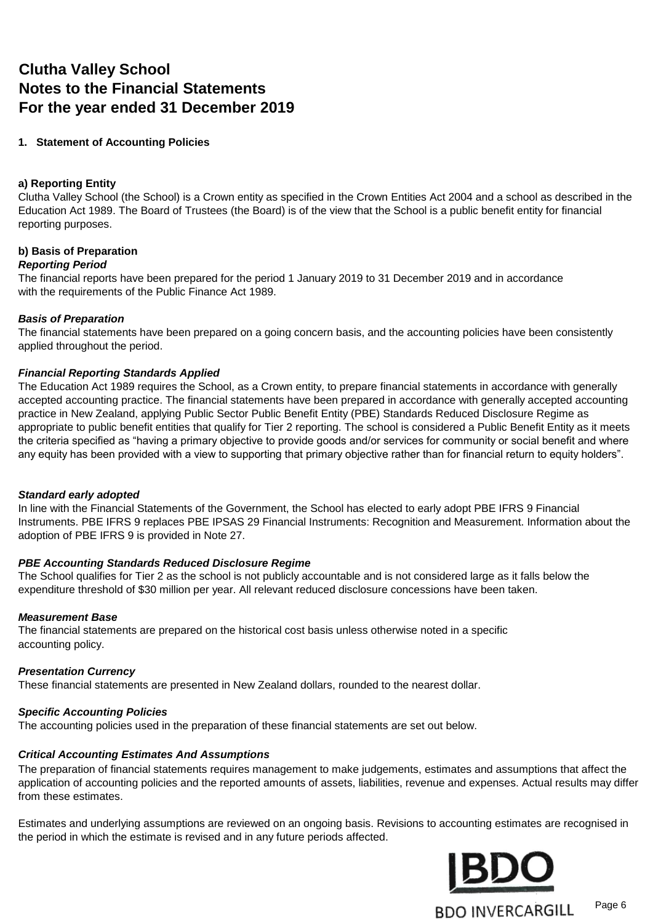### **Clutha Valley School Notes to the Financial Statements For the year ended 31 December 2019**

#### **1. Statement of Accounting Policies**

#### **a) Reporting Entity**

Clutha Valley School (the School) is a Crown entity as specified in the Crown Entities Act 2004 and a school as described in the Education Act 1989. The Board of Trustees (the Board) is of the view that the School is a public benefit entity for financial reporting purposes.

#### **b) Basis of Preparation**

#### *Reporting Period*

The financial reports have been prepared for the period 1 January 2019 to 31 December 2019 and in accordance with the requirements of the Public Finance Act 1989.

#### *Basis of Preparation*

The financial statements have been prepared on a going concern basis, and the accounting policies have been consistently applied throughout the period.

#### *Financial Reporting Standards Applied*

The Education Act 1989 requires the School, as a Crown entity, to prepare financial statements in accordance with generally accepted accounting practice. The financial statements have been prepared in accordance with generally accepted accounting practice in New Zealand, applying Public Sector Public Benefit Entity (PBE) Standards Reduced Disclosure Regime as appropriate to public benefit entities that qualify for Tier 2 reporting. The school is considered a Public Benefit Entity as it meets the criteria specified as "having a primary objective to provide goods and/or services for community or social benefit and where any equity has been provided with a view to supporting that primary objective rather than for financial return to equity holders".

#### *Standard early adopted*

In line with the Financial Statements of the Government, the School has elected to early adopt PBE IFRS 9 Financial Instruments. PBE IFRS 9 replaces PBE IPSAS 29 Financial Instruments: Recognition and Measurement. Information about the adoption of PBE IFRS 9 is provided in Note 27.

#### *PBE Accounting Standards Reduced Disclosure Regime*

The School qualifies for Tier 2 as the school is not publicly accountable and is not considered large as it falls below the expenditure threshold of \$30 million per year. All relevant reduced disclosure concessions have been taken.

#### *Measurement Base*

The financial statements are prepared on the historical cost basis unless otherwise noted in a specific accounting policy.

#### *Presentation Currency*

These financial statements are presented in New Zealand dollars, rounded to the nearest dollar.

#### *Specific Accounting Policies*

The accounting policies used in the preparation of these financial statements are set out below.

#### *Critical Accounting Estimates And Assumptions*

The preparation of financial statements requires management to make judgements, estimates and assumptions that affect the application of accounting policies and the reported amounts of assets, liabilities, revenue and expenses. Actual results may differ from these estimates.

Estimates and underlying assumptions are reviewed on an ongoing basis. Revisions to accounting estimates are recognised in the period in which the estimate is revised and in any future periods affected.

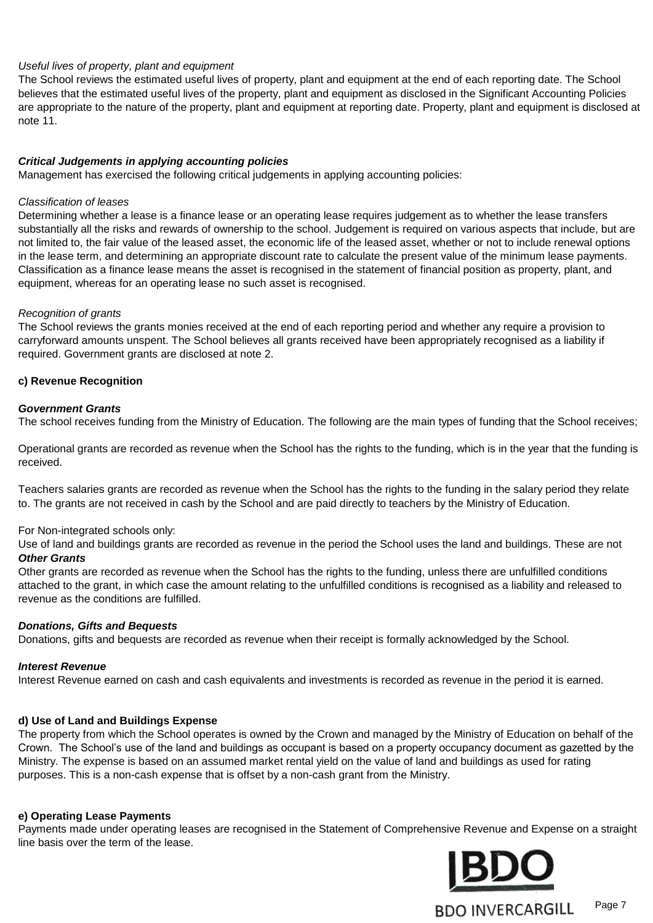#### *Useful lives of property, plant and equipment*

The School reviews the estimated useful lives of property, plant and equipment at the end of each reporting date. The School believes that the estimated useful lives of the property, plant and equipment as disclosed in the Significant Accounting Policies are appropriate to the nature of the property, plant and equipment at reporting date. Property, plant and equipment is disclosed at note 11.

#### *Critical Judgements in applying accounting policies*

Management has exercised the following critical judgements in applying accounting policies:

#### *Classification of leases*

Determining whether a lease is a finance lease or an operating lease requires judgement as to whether the lease transfers substantially all the risks and rewards of ownership to the school. Judgement is required on various aspects that include, but are not limited to, the fair value of the leased asset, the economic life of the leased asset, whether or not to include renewal options in the lease term, and determining an appropriate discount rate to calculate the present value of the minimum lease payments. Classification as a finance lease means the asset is recognised in the statement of financial position as property, plant, and equipment, whereas for an operating lease no such asset is recognised.

#### *Recognition of grants*

The School reviews the grants monies received at the end of each reporting period and whether any require a provision to carryforward amounts unspent. The School believes all grants received have been appropriately recognised as a liability if required. Government grants are disclosed at note 2.

#### **c) Revenue Recognition**

#### *Government Grants*

The school receives funding from the Ministry of Education. The following are the main types of funding that the School receives;

Operational grants are recorded as revenue when the School has the rights to the funding, which is in the year that the funding is received.

Teachers salaries grants are recorded as revenue when the School has the rights to the funding in the salary period they relate to. The grants are not received in cash by the School and are paid directly to teachers by the Ministry of Education.

#### For Non-integrated schools only:

*Other Grants* Use of land and buildings grants are recorded as revenue in the period the School uses the land and buildings. These are not

Other grants are recorded as revenue when the School has the rights to the funding, unless there are unfulfilled conditions attached to the grant, in which case the amount relating to the unfulfilled conditions is recognised as a liability and released to revenue as the conditions are fulfilled.

#### *Donations, Gifts and Bequests*

Donations, gifts and bequests are recorded as revenue when their receipt is formally acknowledged by the School.

#### *Interest Revenue*

Interest Revenue earned on cash and cash equivalents and investments is recorded as revenue in the period it is earned.

#### **d) Use of Land and Buildings Expense**

The property from which the School operates is owned by the Crown and managed by the Ministry of Education on behalf of the Crown. The School's use of the land and buildings as occupant is based on a property occupancy document as gazetted by the Ministry. The expense is based on an assumed market rental yield on the value of land and buildings as used for rating purposes. This is a non-cash expense that is offset by a non-cash grant from the Ministry.

#### **e) Operating Lease Payments**

Payments made under operating leases are recognised in the Statement of Comprehensive Revenue and Expense on a straight line basis over the term of the lease.



Page 7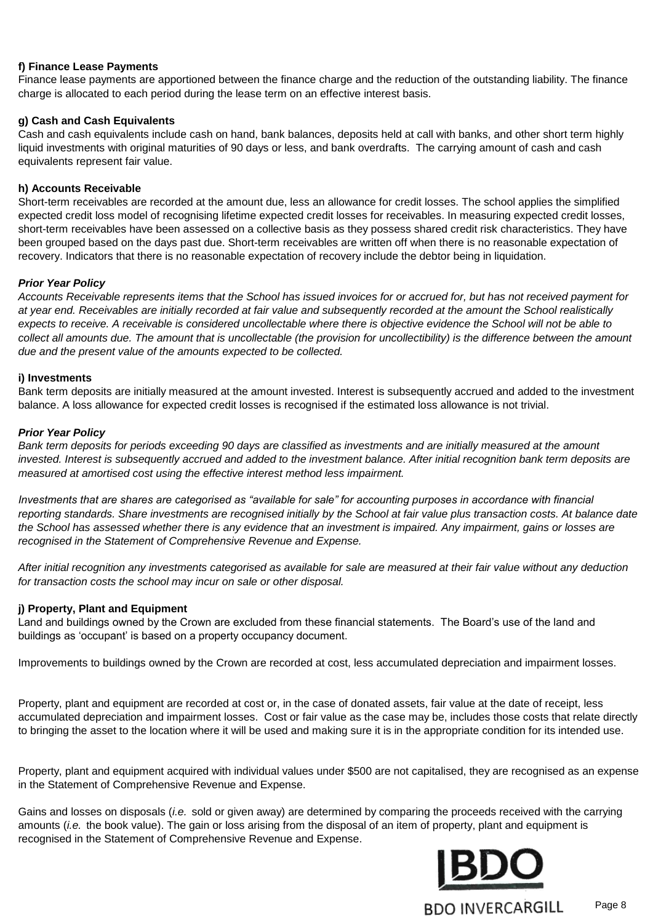#### **f) Finance Lease Payments**

Finance lease payments are apportioned between the finance charge and the reduction of the outstanding liability. The finance charge is allocated to each period during the lease term on an effective interest basis.

#### **g) Cash and Cash Equivalents**

Cash and cash equivalents include cash on hand, bank balances, deposits held at call with banks, and other short term highly liquid investments with original maturities of 90 days or less, and bank overdrafts. The carrying amount of cash and cash equivalents represent fair value.

#### **h) Accounts Receivable**

Short-term receivables are recorded at the amount due, less an allowance for credit losses. The school applies the simplified expected credit loss model of recognising lifetime expected credit losses for receivables. In measuring expected credit losses, short-term receivables have been assessed on a collective basis as they possess shared credit risk characteristics. They have been grouped based on the days past due. Short-term receivables are written off when there is no reasonable expectation of recovery. Indicators that there is no reasonable expectation of recovery include the debtor being in liquidation.

#### *Prior Year Policy*

*Accounts Receivable represents items that the School has issued invoices for or accrued for, but has not received payment for at year end. Receivables are initially recorded at fair value and subsequently recorded at the amount the School realistically expects to receive. A receivable is considered uncollectable where there is objective evidence the School will not be able to collect all amounts due. The amount that is uncollectable (the provision for uncollectibility) is the difference between the amount due and the present value of the amounts expected to be collected.* 

#### **i) Investments**

Bank term deposits are initially measured at the amount invested. Interest is subsequently accrued and added to the investment balance. A loss allowance for expected credit losses is recognised if the estimated loss allowance is not trivial.

#### *Prior Year Policy*

*Bank term deposits for periods exceeding 90 days are classified as investments and are initially measured at the amount invested. Interest is subsequently accrued and added to the investment balance. After initial recognition bank term deposits are measured at amortised cost using the effective interest method less impairment.*

*Investments that are shares are categorised as "available for sale" for accounting purposes in accordance with financial reporting standards. Share investments are recognised initially by the School at fair value plus transaction costs. At balance date the School has assessed whether there is any evidence that an investment is impaired. Any impairment, gains or losses are recognised in the Statement of Comprehensive Revenue and Expense.*

*After initial recognition any investments categorised as available for sale are measured at their fair value without any deduction for transaction costs the school may incur on sale or other disposal.*

#### **j) Property, Plant and Equipment**

Land and buildings owned by the Crown are excluded from these financial statements. The Board's use of the land and buildings as 'occupant' is based on a property occupancy document.

Improvements to buildings owned by the Crown are recorded at cost, less accumulated depreciation and impairment losses.

Property, plant and equipment are recorded at cost or, in the case of donated assets, fair value at the date of receipt, less accumulated depreciation and impairment losses. Cost or fair value as the case may be, includes those costs that relate directly to bringing the asset to the location where it will be used and making sure it is in the appropriate condition for its intended use.

Property, plant and equipment acquired with individual values under \$500 are not capitalised, they are recognised as an expense in the Statement of Comprehensive Revenue and Expense.

Gains and losses on disposals (*i.e.* sold or given away) are determined by comparing the proceeds received with the carrying amounts (*i.e.* the book value). The gain or loss arising from the disposal of an item of property, plant and equipment is recognised in the Statement of Comprehensive Revenue and Expense.

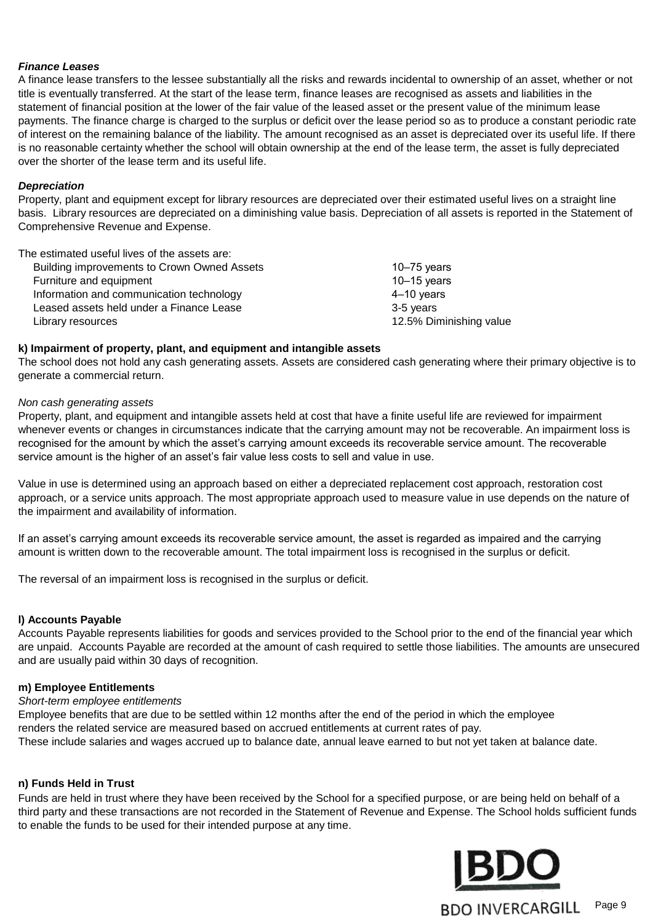#### *Finance Leases*

A finance lease transfers to the lessee substantially all the risks and rewards incidental to ownership of an asset, whether or not title is eventually transferred. At the start of the lease term, finance leases are recognised as assets and liabilities in the statement of financial position at the lower of the fair value of the leased asset or the present value of the minimum lease payments. The finance charge is charged to the surplus or deficit over the lease period so as to produce a constant periodic rate of interest on the remaining balance of the liability. The amount recognised as an asset is depreciated over its useful life. If there is no reasonable certainty whether the school will obtain ownership at the end of the lease term, the asset is fully depreciated over the shorter of the lease term and its useful life.

#### *Depreciation*

Property, plant and equipment except for library resources are depreciated over their estimated useful lives on a straight line basis. Library resources are depreciated on a diminishing value basis. Depreciation of all assets is reported in the Statement of Comprehensive Revenue and Expense.

The estimated useful lives of the assets are:

| Building improvements to Crown Owned Assets | 10 $-75$ years          |
|---------------------------------------------|-------------------------|
| Furniture and equipment                     | $10-15$ years           |
| Information and communication technology    | 4–10 years              |
| Leased assets held under a Finance Lease    | 3-5 years               |
| Library resources                           | 12.5% Diminishing value |

#### **k) Impairment of property, plant, and equipment and intangible assets**

The school does not hold any cash generating assets. Assets are considered cash generating where their primary objective is to generate a commercial return.

#### *Non cash generating assets*

Property, plant, and equipment and intangible assets held at cost that have a finite useful life are reviewed for impairment whenever events or changes in circumstances indicate that the carrying amount may not be recoverable. An impairment loss is recognised for the amount by which the asset's carrying amount exceeds its recoverable service amount. The recoverable service amount is the higher of an asset's fair value less costs to sell and value in use.

Value in use is determined using an approach based on either a depreciated replacement cost approach, restoration cost approach, or a service units approach. The most appropriate approach used to measure value in use depends on the nature of the impairment and availability of information.

If an asset's carrying amount exceeds its recoverable service amount, the asset is regarded as impaired and the carrying amount is written down to the recoverable amount. The total impairment loss is recognised in the surplus or deficit.

The reversal of an impairment loss is recognised in the surplus or deficit.

#### **l) Accounts Payable**

Accounts Payable represents liabilities for goods and services provided to the School prior to the end of the financial year which are unpaid. Accounts Payable are recorded at the amount of cash required to settle those liabilities. The amounts are unsecured and are usually paid within 30 days of recognition.

#### **m) Employee Entitlements**

#### *Short-term employee entitlements*

Employee benefits that are due to be settled within 12 months after the end of the period in which the employee renders the related service are measured based on accrued entitlements at current rates of pay. These include salaries and wages accrued up to balance date, annual leave earned to but not yet taken at balance date.

#### **n) Funds Held in Trust**

Funds are held in trust where they have been received by the School for a specified purpose, or are being held on behalf of a third party and these transactions are not recorded in the Statement of Revenue and Expense. The School holds sufficient funds to enable the funds to be used for their intended purpose at any time.

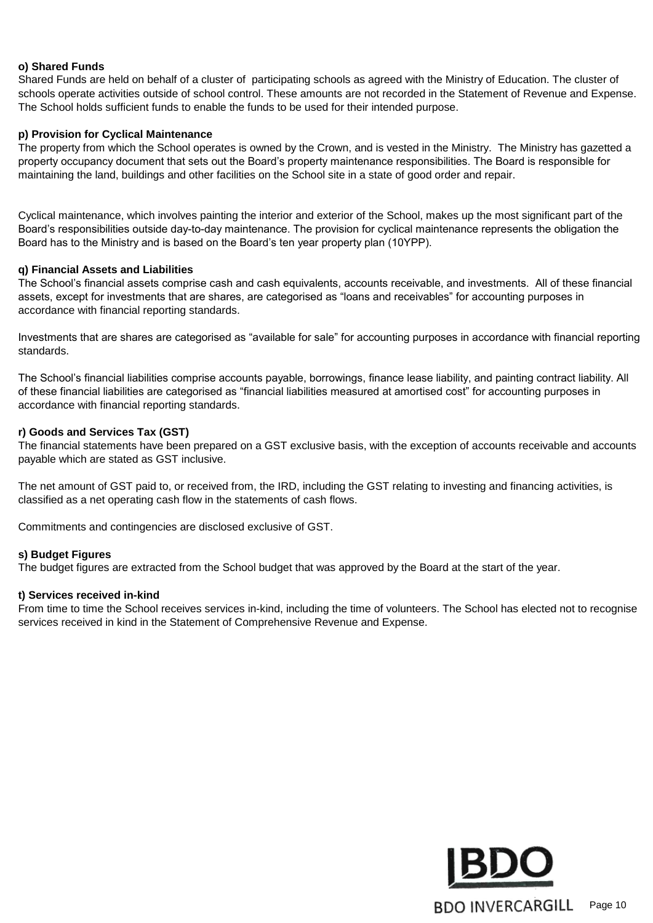#### **o) Shared Funds**

Shared Funds are held on behalf of a cluster of participating schools as agreed with the Ministry of Education. The cluster of schools operate activities outside of school control. These amounts are not recorded in the Statement of Revenue and Expense. The School holds sufficient funds to enable the funds to be used for their intended purpose.

#### **p) Provision for Cyclical Maintenance**

The property from which the School operates is owned by the Crown, and is vested in the Ministry. The Ministry has gazetted a property occupancy document that sets out the Board's property maintenance responsibilities. The Board is responsible for maintaining the land, buildings and other facilities on the School site in a state of good order and repair.

Cyclical maintenance, which involves painting the interior and exterior of the School, makes up the most significant part of the Board's responsibilities outside day-to-day maintenance. The provision for cyclical maintenance represents the obligation the Board has to the Ministry and is based on the Board's ten year property plan (10YPP).

#### **q) Financial Assets and Liabilities**

The School's financial assets comprise cash and cash equivalents, accounts receivable, and investments. All of these financial assets, except for investments that are shares, are categorised as "loans and receivables" for accounting purposes in accordance with financial reporting standards.

Investments that are shares are categorised as "available for sale" for accounting purposes in accordance with financial reporting standards.

The School's financial liabilities comprise accounts payable, borrowings, finance lease liability, and painting contract liability. All of these financial liabilities are categorised as "financial liabilities measured at amortised cost" for accounting purposes in accordance with financial reporting standards.

#### **r) Goods and Services Tax (GST)**

The financial statements have been prepared on a GST exclusive basis, with the exception of accounts receivable and accounts payable which are stated as GST inclusive.

The net amount of GST paid to, or received from, the IRD, including the GST relating to investing and financing activities, is classified as a net operating cash flow in the statements of cash flows.

Commitments and contingencies are disclosed exclusive of GST.

#### **s) Budget Figures**

The budget figures are extracted from the School budget that was approved by the Board at the start of the year.

#### **t) Services received in-kind**

From time to time the School receives services in-kind, including the time of volunteers. The School has elected not to recognise services received in kind in the Statement of Comprehensive Revenue and Expense.

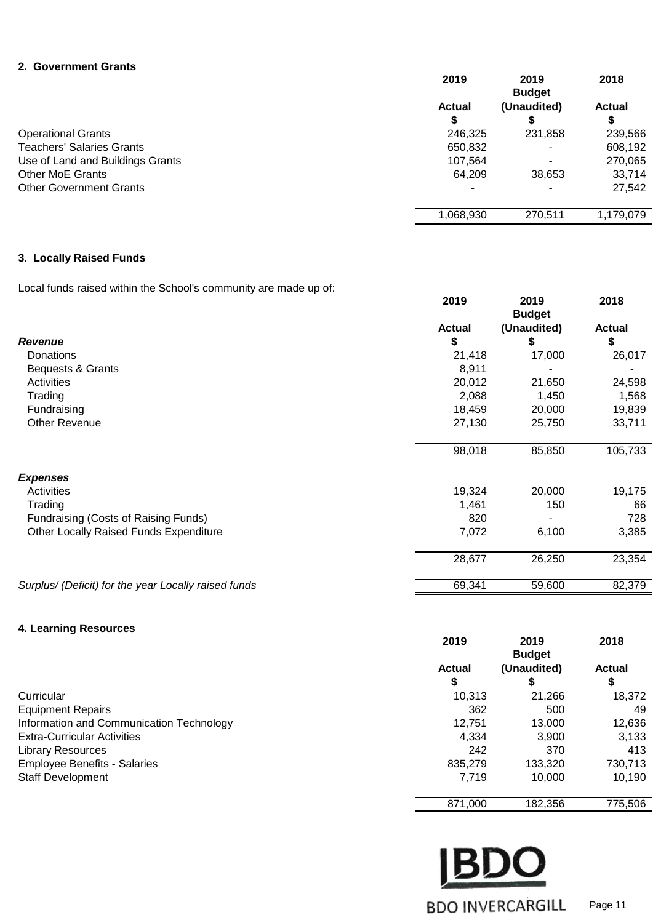#### **2. Government Grants**

|                                  | 2019        | 2019<br><b>Budget</b> | 2018          |
|----------------------------------|-------------|-----------------------|---------------|
|                                  | Actual<br>S | (Unaudited)           | <b>Actual</b> |
| <b>Operational Grants</b>        | 246.325     | 231,858               | 239,566       |
| <b>Teachers' Salaries Grants</b> | 650,832     | ۰                     | 608,192       |
| Use of Land and Buildings Grants | 107.564     | ٠                     | 270,065       |
| <b>Other MoE Grants</b>          | 64.209      | 38,653                | 33,714        |
| <b>Other Government Grants</b>   | ۰           | -                     | 27,542        |
|                                  | ,068,930    | 270,511               | 1.179.079     |

#### **3. Locally Raised Funds**

Local funds raised within the School's community are made up of:

|                                                      | 2019          | 2019<br><b>Budget</b> | 2018          |
|------------------------------------------------------|---------------|-----------------------|---------------|
|                                                      | <b>Actual</b> | (Unaudited)           | <b>Actual</b> |
| Revenue                                              | \$            | \$                    | \$            |
| Donations                                            | 21,418        | 17,000                | 26,017        |
| Bequests & Grants                                    | 8,911         |                       |               |
| <b>Activities</b>                                    | 20,012        | 21,650                | 24,598        |
| Trading                                              | 2,088         | 1,450                 | 1,568         |
| Fundraising                                          | 18,459        | 20,000                | 19,839        |
| Other Revenue                                        | 27,130        | 25,750                | 33,711        |
|                                                      | 98,018        | 85,850                | 105,733       |
| <b>Expenses</b>                                      |               |                       |               |
| Activities                                           | 19,324        | 20,000                | 19,175        |
| Trading                                              | 1,461         | 150                   | 66            |
| Fundraising (Costs of Raising Funds)                 | 820           |                       | 728           |
| Other Locally Raised Funds Expenditure               | 7,072         | 6,100                 | 3,385         |
|                                                      | 28,677        | 26,250                | 23,354        |
| Surplus/ (Deficit) for the year Locally raised funds | 69,341        | 59,600                | 82,379        |

#### **4. Learning Resources**

|                                          | 2019                | 2019<br><b>Budget</b> | 2018                |
|------------------------------------------|---------------------|-----------------------|---------------------|
|                                          | <b>Actual</b><br>\$ | (Unaudited)<br>จ      | <b>Actual</b><br>\$ |
| Curricular                               | 10,313              | 21,266                | 18,372              |
| <b>Equipment Repairs</b>                 | 362                 | 500                   | 49                  |
| Information and Communication Technology | 12.751              | 13,000                | 12,636              |
| <b>Extra-Curricular Activities</b>       | 4,334               | 3,900                 | 3,133               |
| <b>Library Resources</b>                 | 242                 | 370                   | 413                 |
| <b>Employee Benefits - Salaries</b>      | 835,279             | 133,320               | 730,713             |
| <b>Staff Development</b>                 | 7,719               | 10,000                | 10,190              |
|                                          | 871,000             | 182,356               | 775,506             |

**BDO BDO INVERCARGILL** Page 11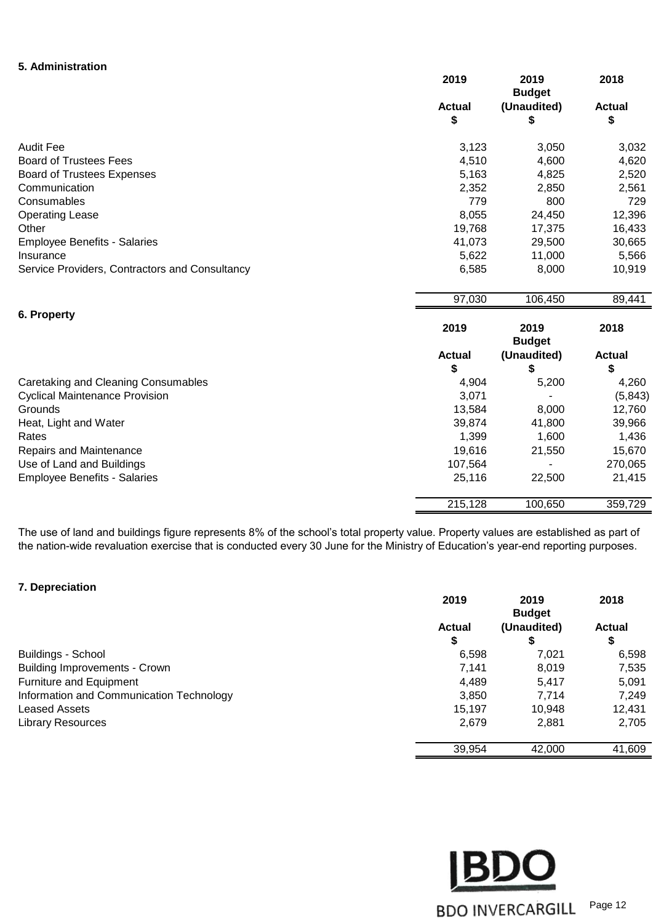#### **5. Administration**

|                                                | 2019          | 2019<br><b>Budget</b> | 2018          |
|------------------------------------------------|---------------|-----------------------|---------------|
|                                                | <b>Actual</b> | (Unaudited)           | <b>Actual</b> |
|                                                | \$            | \$                    | \$            |
| <b>Audit Fee</b>                               | 3,123         | 3,050                 | 3,032         |
| <b>Board of Trustees Fees</b>                  | 4,510         | 4,600                 | 4,620         |
| <b>Board of Trustees Expenses</b>              | 5,163         | 4,825                 | 2,520         |
| Communication                                  | 2,352         | 2,850                 | 2,561         |
| Consumables                                    | 779           | 800                   | 729           |
| <b>Operating Lease</b>                         | 8,055         | 24,450                | 12,396        |
| Other                                          | 19,768        | 17,375                | 16,433        |
| <b>Employee Benefits - Salaries</b>            | 41,073        | 29,500                | 30,665        |
| Insurance                                      | 5,622         | 11,000                | 5,566         |
| Service Providers, Contractors and Consultancy | 6,585         | 8,000                 | 10,919        |
|                                                | 97,030        | 106,450               | 89,441        |
| 6. Property                                    |               |                       |               |
|                                                | 2019          | 2019<br><b>Budget</b> | 2018          |
|                                                | <b>Actual</b> | (Unaudited)           | <b>Actual</b> |
|                                                | \$            | \$                    | \$            |
| Caretaking and Cleaning Consumables            | 4,904         | 5,200                 | 4,260         |
| <b>Cyclical Maintenance Provision</b>          | 3,071         |                       | (5, 843)      |
| Grounds                                        | 13,584        | 8,000                 | 12,760        |
| Heat, Light and Water                          | 39,874        | 41,800                | 39,966        |
| Rates                                          | 1,399         | 1,600                 | 1,436         |
| Repairs and Maintenance                        | 19,616        | 21,550                | 15,670        |
| Use of Land and Buildings                      | 107,564       |                       | 270,065       |
| <b>Employee Benefits - Salaries</b>            | 25,116        | 22,500                | 21,415        |
|                                                | 215,128       | 100,650               | 359,729       |

The use of land and buildings figure represents 8% of the school's total property value. Property values are established as part of the nation-wide revaluation exercise that is conducted every 30 June for the Ministry of Education's year-end reporting purposes.

#### **7. Depreciation**

|                                          | 2019          | 2019          | 2018          |
|------------------------------------------|---------------|---------------|---------------|
|                                          |               | <b>Budget</b> | <b>Actual</b> |
|                                          | <b>Actual</b> | (Unaudited)   |               |
|                                          | \$            | \$            | \$            |
| Buildings - School                       | 6,598         | 7,021         | 6,598         |
| <b>Building Improvements - Crown</b>     | 7.141         | 8,019         | 7,535         |
| <b>Furniture and Equipment</b>           | 4,489         | 5,417         | 5,091         |
| Information and Communication Technology | 3,850         | 7.714         | 7,249         |
| <b>Leased Assets</b>                     | 15,197        | 10,948        | 12,431        |
| <b>Library Resources</b>                 | 2,679         | 2,881         | 2,705         |
|                                          | 39,954        | 42,000        | 41,609        |

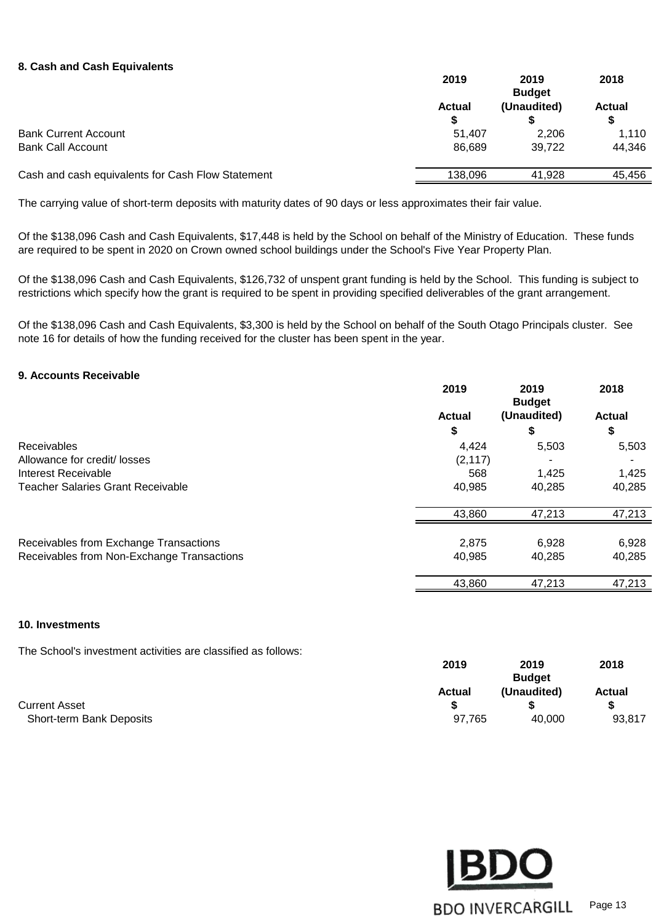#### **8. Cash and Cash Equivalents**

|                                                   | 2019               | 2019<br><b>Budget</b> | 2018               |
|---------------------------------------------------|--------------------|-----------------------|--------------------|
|                                                   | <b>Actual</b><br>S | (Unaudited)           | <b>Actual</b><br>S |
| <b>Bank Current Account</b>                       | 51.407             | 2.206                 | 1,110              |
| <b>Bank Call Account</b>                          | 86.689             | 39.722                | 44,346             |
| Cash and cash equivalents for Cash Flow Statement | 138,096            | 41.928                | 45,456             |
|                                                   |                    |                       |                    |

The carrying value of short-term deposits with maturity dates of 90 days or less approximates their fair value.

Of the \$138,096 Cash and Cash Equivalents, \$17,448 is held by the School on behalf of the Ministry of Education. These funds are required to be spent in 2020 on Crown owned school buildings under the School's Five Year Property Plan.

Of the \$138,096 Cash and Cash Equivalents, \$126,732 of unspent grant funding is held by the School. This funding is subject to restrictions which specify how the grant is required to be spent in providing specified deliverables of the grant arrangement.

Of the \$138,096 Cash and Cash Equivalents, \$3,300 is held by the School on behalf of the South Otago Principals cluster. See note 16 for details of how the funding received for the cluster has been spent in the year.

#### **9. Accounts Receivable**

|                                            | 2019          | 2019<br><b>Budget</b> | 2018          |
|--------------------------------------------|---------------|-----------------------|---------------|
|                                            | <b>Actual</b> | (Unaudited)           | <b>Actual</b> |
|                                            | \$            | S                     | \$            |
| Receivables                                | 4,424         | 5,503                 | 5,503         |
| Allowance for credit/ losses               | (2, 117)      |                       |               |
| Interest Receivable                        | 568           | 1,425                 | 1,425         |
| <b>Teacher Salaries Grant Receivable</b>   | 40,985        | 40,285                | 40,285        |
|                                            | 43,860        | 47,213                | 47,213        |
| Receivables from Exchange Transactions     | 2,875         | 6,928                 | 6,928         |
| Receivables from Non-Exchange Transactions | 40,985        | 40,285                | 40,285        |
|                                            | 43,860        | 47,213                | 47,213        |

#### **10. Investments**

The School's investment activities are classified as follows:

|                          |               | <b>Budget</b> |               |  |
|--------------------------|---------------|---------------|---------------|--|
|                          | <b>Actual</b> | (Unaudited)   | <b>Actual</b> |  |
| <b>Current Asset</b>     |               |               |               |  |
| Short-term Bank Deposits | 97,765        | 40.000        | 93,817        |  |



**2019 2019 2018**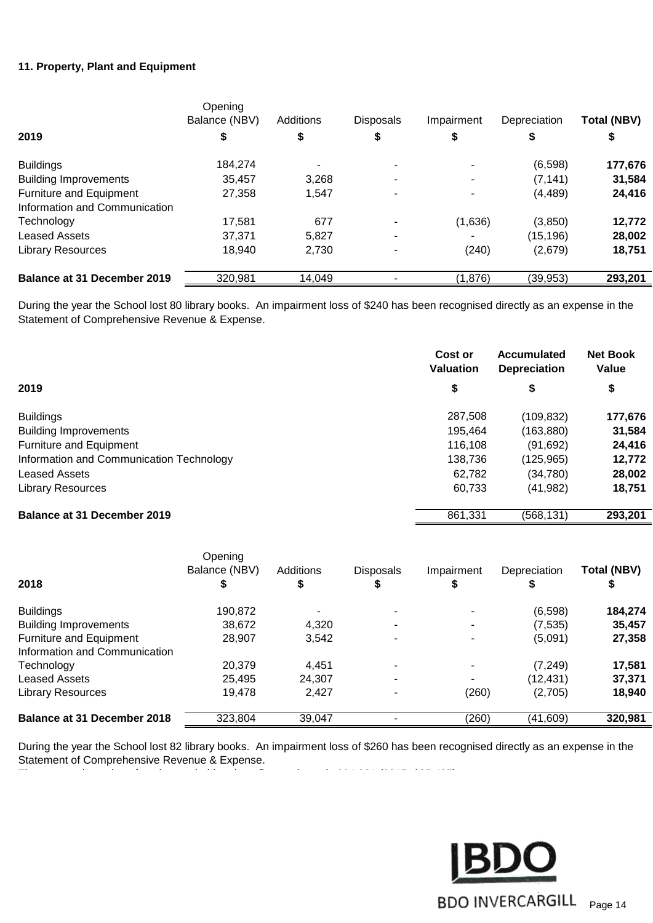#### **11. Property, Plant and Equipment**

|                               | Opening<br>Balance (NBV) | Additions | <b>Disposals</b> | Impairment | Depreciation | <b>Total (NBV)</b> |
|-------------------------------|--------------------------|-----------|------------------|------------|--------------|--------------------|
| 2019                          | \$                       | \$        | \$               | \$         | \$           | \$                 |
| <b>Buildings</b>              | 184,274                  |           |                  |            | (6,598)      | 177,676            |
| <b>Building Improvements</b>  | 35,457                   | 3,268     |                  |            | (7, 141)     | 31,584             |
| Furniture and Equipment       | 27,358                   | 1,547     |                  |            | (4, 489)     | 24,416             |
| Information and Communication |                          |           |                  |            |              |                    |
| Technology                    | 17,581                   | 677       |                  | (1,636)    | (3,850)      | 12,772             |
| <b>Leased Assets</b>          | 37.371                   | 5,827     |                  |            | (15, 196)    | 28,002             |
| <b>Library Resources</b>      | 18.940                   | 2.730     |                  | (240)      | (2,679)      | 18,751             |
| Balance at 31 December 2019   | 320,981                  | 14,049    |                  | (1,876)    | (39,953)     | 293,201            |

During the year the School lost 80 library books. An impairment loss of \$240 has been recognised directly as an expense in the Statement of Comprehensive Revenue & Expense.

|                                          | Cost or<br><b>Valuation</b> | Accumulated<br><b>Depreciation</b> | <b>Net Book</b><br>Value |
|------------------------------------------|-----------------------------|------------------------------------|--------------------------|
| 2019                                     | \$                          | \$                                 | \$                       |
| <b>Buildings</b>                         | 287.508                     | (109, 832)                         | 177,676                  |
| <b>Building Improvements</b>             | 195.464                     | (163, 880)                         | 31,584                   |
| Furniture and Equipment                  | 116,108                     | (91, 692)                          | 24,416                   |
| Information and Communication Technology | 138,736                     | (125, 965)                         | 12,772                   |
| <b>Leased Assets</b>                     | 62,782                      | (34, 780)                          | 28,002                   |
| <b>Library Resources</b>                 | 60,733                      | (41, 982)                          | 18,751                   |
| <b>Balance at 31 December 2019</b>       | 861,331                     | (568, 131)                         | 293,201                  |

|                                    | Opening<br>Balance (NBV) | Additions | <b>Disposals</b> | Impairment | Depreciation | Total (NBV) |
|------------------------------------|--------------------------|-----------|------------------|------------|--------------|-------------|
| 2018                               |                          | ₽         | \$               |            |              |             |
| <b>Buildings</b>                   | 190,872                  |           |                  |            | (6,598)      | 184,274     |
| <b>Building Improvements</b>       | 38,672                   | 4,320     |                  |            | (7, 535)     | 35,457      |
| <b>Furniture and Equipment</b>     | 28.907                   | 3,542     |                  |            | (5,091)      | 27,358      |
| Information and Communication      |                          |           |                  |            |              |             |
| Technology                         | 20,379                   | 4,451     |                  |            | (7, 249)     | 17,581      |
| <b>Leased Assets</b>               | 25,495                   | 24,307    |                  |            | (12, 431)    | 37,371      |
| Library Resources                  | 19.478                   | 2,427     |                  | (260)      | (2,705)      | 18,940      |
| <b>Balance at 31 December 2018</b> | 323,804                  | 39.047    |                  | (260)      | (41, 609)    | 320,981     |

During the year the School lost 82 library books. An impairment loss of \$260 has been recognised directly as an expense in the Statement of Comprehensive Revenue & Expense.

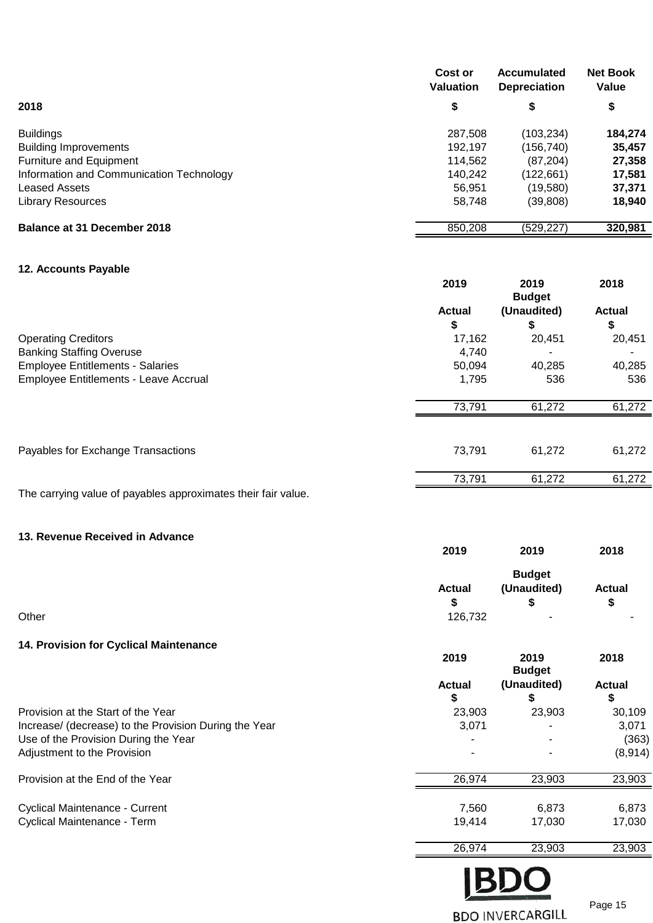|                                          | Cost or<br><b>Valuation</b> | <b>Accumulated</b><br><b>Depreciation</b> | <b>Net Book</b><br>Value |
|------------------------------------------|-----------------------------|-------------------------------------------|--------------------------|
| 2018                                     | \$                          | \$                                        | \$                       |
| <b>Buildings</b>                         | 287,508                     | (103, 234)                                | 184,274                  |
| <b>Building Improvements</b>             | 192.197                     | (156,740)                                 | 35,457                   |
| Furniture and Equipment                  | 114,562                     | (87, 204)                                 | 27,358                   |
| Information and Communication Technology | 140,242                     | (122,661)                                 | 17,581                   |
| <b>Leased Assets</b>                     | 56.951                      | (19,580)                                  | 37,371                   |
| <b>Library Resources</b>                 | 58,748                      | (39, 808)                                 | 18,940                   |
| Balance at 31 December 2018              | 850,208                     | (529, 227)                                | 320,981                  |

#### **12. Accounts Payable**

|                                                               | 2019          | 2019<br><b>Budget</b> | 2018          |
|---------------------------------------------------------------|---------------|-----------------------|---------------|
|                                                               | <b>Actual</b> | (Unaudited)           | <b>Actual</b> |
|                                                               | \$            | \$                    | \$            |
| <b>Operating Creditors</b>                                    | 17,162        | 20,451                | 20,451        |
| <b>Banking Staffing Overuse</b>                               | 4,740         |                       |               |
| <b>Employee Entitlements - Salaries</b>                       | 50,094        | 40,285                | 40,285        |
| Employee Entitlements - Leave Accrual                         | 1,795         | 536                   | 536           |
|                                                               | 73,791        | 61,272                | 61,272        |
| Payables for Exchange Transactions                            | 73,791        | 61,272                | 61,272        |
|                                                               | 73,791        | 61,272                | 61,272        |
| The carrying value of payables approximates their fair value. |               |                       |               |

#### **13. Revenue Received in Advance**

| 2019          | 2019          | 2018          |
|---------------|---------------|---------------|
|               | <b>Budget</b> |               |
| <b>Actual</b> | (Unaudited)   | <b>Actual</b> |
| \$            | \$            | ъ             |
| 126,732       | $\sim$        | ۰.            |
|               |               |               |

#### **14. Provision for Cyclical Maintenance**

|                                                       | 2019                | 2019<br><b>Budget</b> | 2018                |
|-------------------------------------------------------|---------------------|-----------------------|---------------------|
|                                                       | <b>Actual</b><br>\$ | (Unaudited)<br>æ.     | <b>Actual</b><br>\$ |
| Provision at the Start of the Year                    | 23,903              | 23,903                | 30,109              |
| Increase/ (decrease) to the Provision During the Year | 3,071               |                       | 3,071               |
| Use of the Provision During the Year                  |                     |                       | (363)               |
| Adjustment to the Provision                           |                     |                       | (8,914)             |
| Provision at the End of the Year                      | 26,974              | 23,903                | 23,903              |
| <b>Cyclical Maintenance - Current</b>                 | 7,560               | 6,873                 | 6,873               |
| Cyclical Maintenance - Term                           | 19,414              | 17,030                | 17,030              |
|                                                       | 26,974              | 23,903                | 23,903              |



Page 15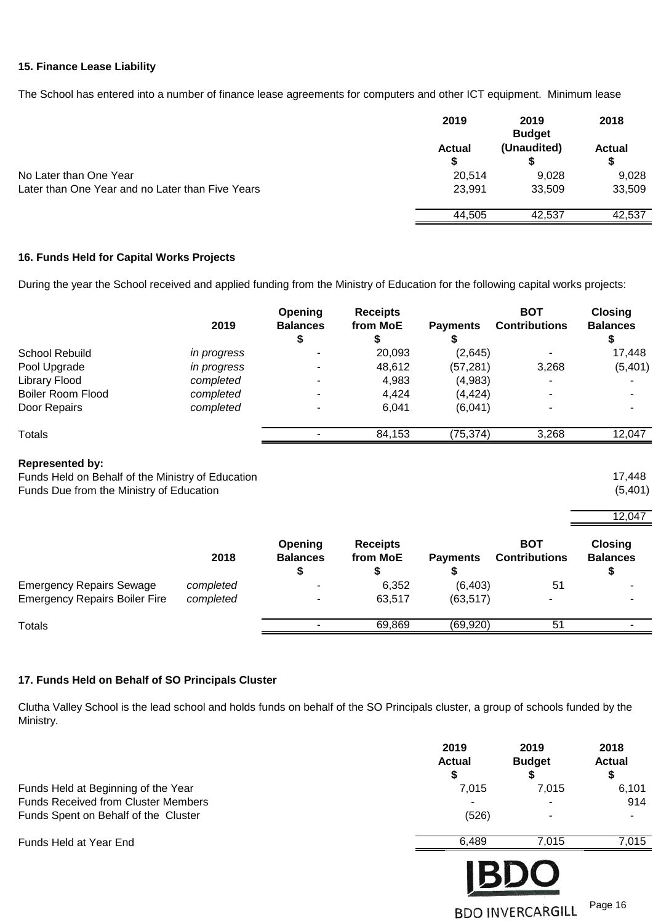#### **15. Finance Lease Liability**

The School has entered into a number of finance lease agreements for computers and other ICT equipment. Minimum lease

|                                                  | 2019               | 2019<br><b>Budget</b> | 2018               |
|--------------------------------------------------|--------------------|-----------------------|--------------------|
|                                                  | <b>Actual</b><br>S | (Unaudited)           | <b>Actual</b><br>S |
| No Later than One Year                           | 20,514             | 9,028                 | 9,028              |
| Later than One Year and no Later than Five Years | 23,991             | 33.509                | 33,509             |
|                                                  | 44.505             | 42.537                | 42,537             |
|                                                  |                    |                       |                    |

#### **16. Funds Held for Capital Works Projects**

During the year the School received and applied funding from the Ministry of Education for the following capital works projects:

|                          | 2019               | <b>Opening</b><br><b>Balances</b> | <b>Receipts</b><br>from MoE | <b>Payments</b> | BOT<br><b>Contributions</b> | <b>Closing</b><br><b>Balances</b> |
|--------------------------|--------------------|-----------------------------------|-----------------------------|-----------------|-----------------------------|-----------------------------------|
| School Rebuild           | <i>in progress</i> |                                   | 20,093                      | (2,645)         |                             | 17,448                            |
| Pool Upgrade             | in progress        |                                   | 48,612                      | (57, 281)       | 3,268                       | (5,401)                           |
| <b>Library Flood</b>     | completed          |                                   | 4,983                       | (4,983)         |                             |                                   |
| <b>Boiler Room Flood</b> | completed          |                                   | 4,424                       | (4, 424)        |                             |                                   |
| Door Repairs             | completed          |                                   | 6,041                       | (6,041)         |                             |                                   |
| Totals                   |                    |                                   | 84,153                      | (75, 374)       | 3,268                       | 12,047                            |
|                          |                    |                                   |                             |                 |                             |                                   |

#### **Represented by:**

Funds Held on Behalf of the Ministry of Education<br>
Funds Due from the Ministry of Education (5,401) (5,401) Funds Due from the Ministry of Education

|                                      |           |                            |                             |                 |                                    | 12,047                            |  |
|--------------------------------------|-----------|----------------------------|-----------------------------|-----------------|------------------------------------|-----------------------------------|--|
|                                      | 2018      | Opening<br><b>Balances</b> | <b>Receipts</b><br>from MoE | <b>Payments</b> | <b>BOT</b><br><b>Contributions</b> | <b>Closing</b><br><b>Balances</b> |  |
| <b>Emergency Repairs Sewage</b>      | completed | -                          | 6,352                       | (6, 403)        | 51                                 |                                   |  |
| <b>Emergency Repairs Boiler Fire</b> | completed | -                          | 63,517                      | (63, 517)       |                                    |                                   |  |
| Totals                               |           |                            | 69.869                      | (69, 920)       | 51                                 |                                   |  |

#### **17. Funds Held on Behalf of SO Principals Cluster**

Clutha Valley School is the lead school and holds funds on behalf of the SO Principals cluster, a group of schools funded by the Ministry.

| Funds Held at Beginning of the Year<br><b>Funds Received from Cluster Members</b><br>Funds Spent on Behalf of the Cluster | 2019<br><b>Actual</b><br>\$<br>7,015<br>(526) | 2019<br><b>Budget</b><br>S<br>7,015    | 2018<br><b>Actual</b><br>\$<br>6,101<br>914 |
|---------------------------------------------------------------------------------------------------------------------------|-----------------------------------------------|----------------------------------------|---------------------------------------------|
| Funds Held at Year End                                                                                                    | 6,489                                         | 7,015                                  | 7,015                                       |
|                                                                                                                           |                                               | <b>IBDO</b><br><b>BDO INVERCARGILL</b> | Page 16                                     |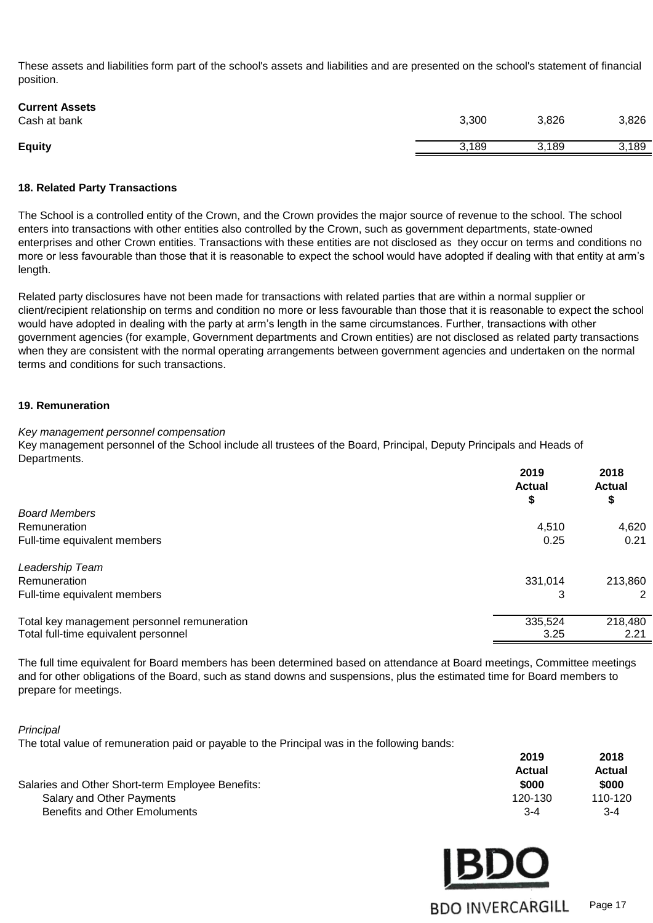These assets and liabilities form part of the school's assets and liabilities and are presented on the school's statement of financial position.

| 3,300 | 3,826 | 3,826 |
|-------|-------|-------|
| 3,189 | 3,189 | 3,189 |
|       |       |       |

#### **18. Related Party Transactions**

The School is a controlled entity of the Crown, and the Crown provides the major source of revenue to the school. The school enters into transactions with other entities also controlled by the Crown, such as government departments, state-owned enterprises and other Crown entities. Transactions with these entities are not disclosed as they occur on terms and conditions no more or less favourable than those that it is reasonable to expect the school would have adopted if dealing with that entity at arm's length.

Related party disclosures have not been made for transactions with related parties that are within a normal supplier or client/recipient relationship on terms and condition no more or less favourable than those that it is reasonable to expect the school would have adopted in dealing with the party at arm's length in the same circumstances. Further, transactions with other government agencies (for example, Government departments and Crown entities) are not disclosed as related party transactions when they are consistent with the normal operating arrangements between government agencies and undertaken on the normal terms and conditions for such transactions.

#### **19. Remuneration**

#### *Key management personnel compensation*

Key management personnel of the School include all trustees of the Board, Principal, Deputy Principals and Heads of Departments.

|                                             | 2019<br><b>Actual</b> | 2018<br><b>Actual</b> |
|---------------------------------------------|-----------------------|-----------------------|
| <b>Board Members</b>                        | ₽                     | \$                    |
| Remuneration                                | 4,510                 | 4,620                 |
| Full-time equivalent members                | 0.25                  | 0.21                  |
| Leadership Team                             |                       |                       |
| Remuneration                                | 331.014               | 213,860               |
| Full-time equivalent members                | 3                     | 2                     |
| Total key management personnel remuneration | 335,524               | 218,480               |
| Total full-time equivalent personnel        | 3.25                  | 2.21                  |

The full time equivalent for Board members has been determined based on attendance at Board meetings, Committee meetings and for other obligations of the Board, such as stand downs and suspensions, plus the estimated time for Board members to prepare for meetings.

*Principal* 

The total value of remuneration paid or payable to the Principal was in the following bands:

|                                                  | 2019    | 2018    |
|--------------------------------------------------|---------|---------|
|                                                  | Actual  | Actual  |
| Salaries and Other Short-term Employee Benefits: | \$000   | \$000   |
| Salary and Other Payments                        | 120-130 | 110-120 |
| Benefits and Other Emoluments                    | $3 - 4$ | $3-4$   |

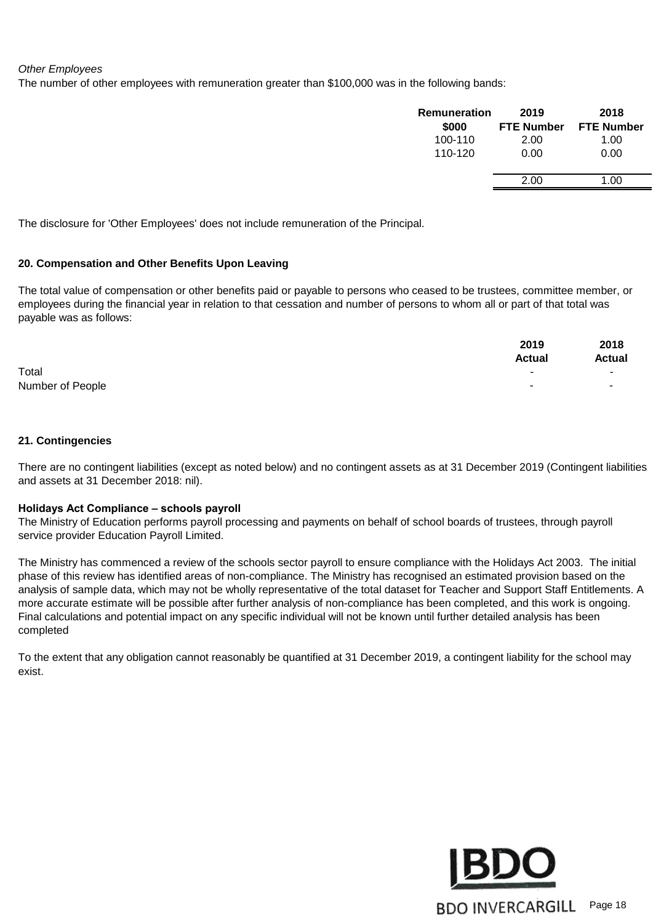#### *Other Employees*

The number of other employees with remuneration greater than \$100,000 was in the following bands:

| Remuneration | 2019              | 2018              |
|--------------|-------------------|-------------------|
| \$000        | <b>FTE Number</b> | <b>FTE Number</b> |
| 100-110      | 2.00              | 1.00              |
| 110-120      | 0.00              | 0.00              |
|              | 2.00              |                   |

The disclosure for 'Other Employees' does not include remuneration of the Principal.

#### **20. Compensation and Other Benefits Upon Leaving**

The total value of compensation or other benefits paid or payable to persons who ceased to be trustees, committee member, or employees during the financial year in relation to that cessation and number of persons to whom all or part of that total was payable was as follows:

|                  | 2019<br><b>Actual</b>    | 2018<br><b>Actual</b> |
|------------------|--------------------------|-----------------------|
| Total            | $\overline{\phantom{a}}$ | н.                    |
| Number of People | $\overline{\phantom{a}}$ |                       |

#### **21. Contingencies**

There are no contingent liabilities (except as noted below) and no contingent assets as at 31 December 2019 (Contingent liabilities and assets at 31 December 2018: nil).

#### **Holidays Act Compliance – schools payroll**

The Ministry of Education performs payroll processing and payments on behalf of school boards of trustees, through payroll service provider Education Payroll Limited.

The Ministry has commenced a review of the schools sector payroll to ensure compliance with the Holidays Act 2003. The initial phase of this review has identified areas of non-compliance. The Ministry has recognised an estimated provision based on the analysis of sample data, which may not be wholly representative of the total dataset for Teacher and Support Staff Entitlements. A more accurate estimate will be possible after further analysis of non-compliance has been completed, and this work is ongoing. Final calculations and potential impact on any specific individual will not be known until further detailed analysis has been completed

To the extent that any obligation cannot reasonably be quantified at 31 December 2019, a contingent liability for the school may exist.

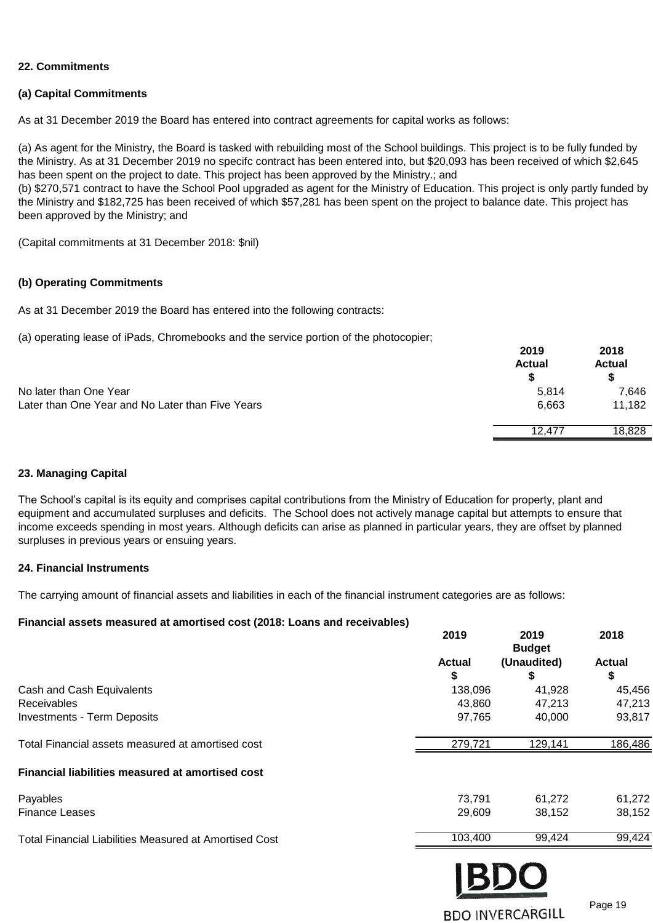#### **22. Commitments**

#### **(a) Capital Commitments**

As at 31 December 2019 the Board has entered into contract agreements for capital works as follows:

(b) \$270,571 contract to have the School Pool upgraded as agent for the Ministry of Education. This project is only partly funded by (a) As agent for the Ministry, the Board is tasked with rebuilding most of the School buildings. This project is to be fully funded by the Ministry. As at 31 December 2019 no specifc contract has been entered into, but \$20,093 has been received of which \$2,645 has been spent on the project to date. This project has been approved by the Ministry.; and

the Ministry and \$182,725 has been received of which \$57,281 has been spent on the project to balance date. This project has been approved by the Ministry; and

(Capital commitments at 31 December 2018: \$nil)

#### **(b) Operating Commitments**

As at 31 December 2019 the Board has entered into the following contracts:

(a) operating lease of iPads, Chromebooks and the service portion of the photocopier;

|                                                  | 2019<br><b>Actual</b> | 2018<br><b>Actual</b> |
|--------------------------------------------------|-----------------------|-----------------------|
|                                                  |                       |                       |
| No later than One Year                           | 5,814                 | 7,646                 |
| Later than One Year and No Later than Five Years | 6,663                 | 11,182                |
|                                                  | 12.477                | 18,828                |
|                                                  |                       |                       |

#### **23. Managing Capital**

The School's capital is its equity and comprises capital contributions from the Ministry of Education for property, plant and equipment and accumulated surpluses and deficits. The School does not actively manage capital but attempts to ensure that income exceeds spending in most years. Although deficits can arise as planned in particular years, they are offset by planned surpluses in previous years or ensuing years.

#### **24. Financial Instruments**

The carrying amount of financial assets and liabilities in each of the financial instrument categories are as follows:

#### **Financial assets measured at amortised cost (2018: Loans and receivables)**

|                                                        | 2019          | 2019<br><b>Budget</b> | 2018          |
|--------------------------------------------------------|---------------|-----------------------|---------------|
|                                                        | <b>Actual</b> | (Unaudited)           | <b>Actual</b> |
|                                                        | \$            | \$                    | \$            |
| Cash and Cash Equivalents                              | 138,096       | 41,928                | 45,456        |
| <b>Receivables</b>                                     | 43,860        | 47,213                | 47,213        |
| <b>Investments - Term Deposits</b>                     | 97,765        | 40,000                | 93,817        |
| Total Financial assets measured at amortised cost      | 279,721       | 129,141               | 186,486       |
| Financial liabilities measured at amortised cost       |               |                       |               |
| Payables                                               | 73,791        | 61,272                | 61,272        |
| <b>Finance Leases</b>                                  | 29,609        | 38,152                | 38,152        |
| Total Financial Liabilities Measured at Amortised Cost | 103,400       | 99,424                | 99,424        |
|                                                        |               |                       |               |

**BDO INVERCARGILL** 

 $PQ$ 

Page 19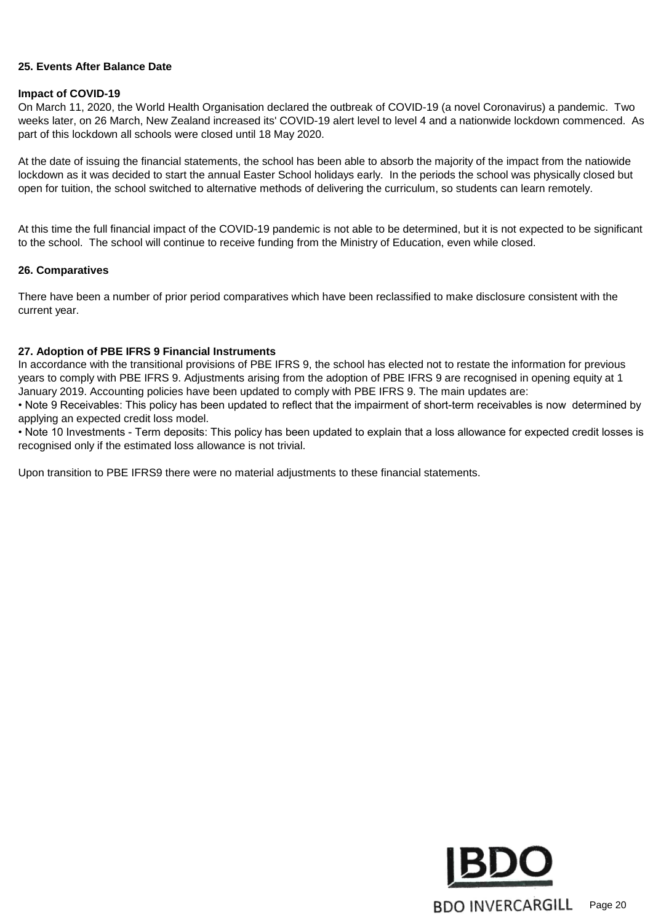#### **25. Events After Balance Date**

#### **Impact of COVID-19**

On March 11, 2020, the World Health Organisation declared the outbreak of COVID-19 (a novel Coronavirus) a pandemic. Two weeks later, on 26 March, New Zealand increased its' COVID-19 alert level to level 4 and a nationwide lockdown commenced. As part of this lockdown all schools were closed until 18 May 2020.

At the date of issuing the financial statements, the school has been able to absorb the majority of the impact from the natiowide lockdown as it was decided to start the annual Easter School holidays early. In the periods the school was physically closed but open for tuition, the school switched to alternative methods of delivering the curriculum, so students can learn remotely.

At this time the full financial impact of the COVID-19 pandemic is not able to be determined, but it is not expected to be significant to the school. The school will continue to receive funding from the Ministry of Education, even while closed.

#### **26. Comparatives**

There have been a number of prior period comparatives which have been reclassified to make disclosure consistent with the current year.

#### **27. Adoption of PBE IFRS 9 Financial Instruments**

In accordance with the transitional provisions of PBE IFRS 9, the school has elected not to restate the information for previous years to comply with PBE IFRS 9. Adjustments arising from the adoption of PBE IFRS 9 are recognised in opening equity at 1 January 2019. Accounting policies have been updated to comply with PBE IFRS 9. The main updates are:

• Note 9 Receivables: This policy has been updated to reflect that the impairment of short-term receivables is now determined by applying an expected credit loss model.

• Note 10 Investments - Term deposits: This policy has been updated to explain that a loss allowance for expected credit losses is recognised only if the estimated loss allowance is not trivial.

Upon transition to PBE IFRS9 there were no material adjustments to these financial statements.

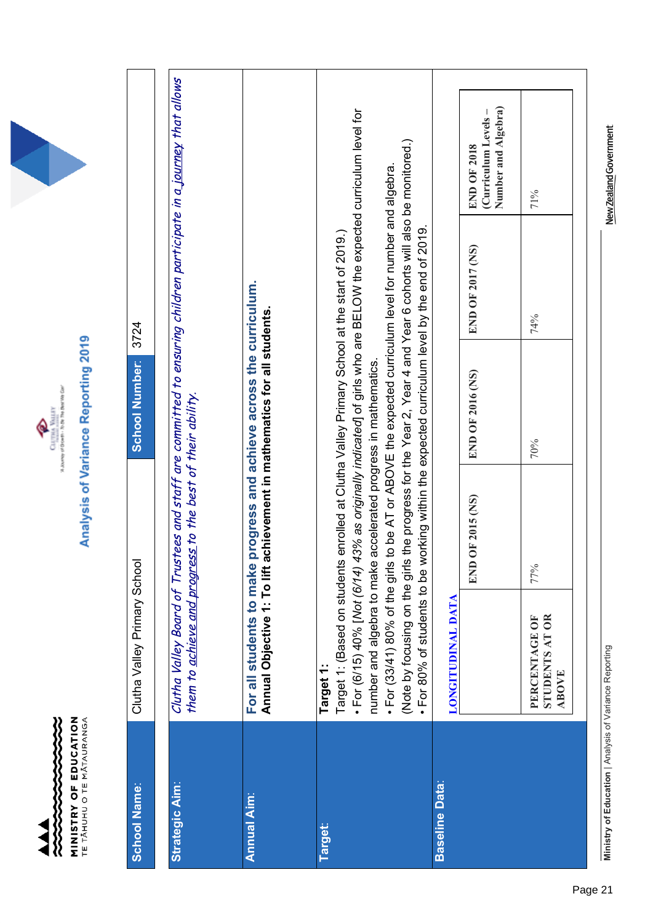



Analysis of Variance Reporting 2019

| <b>School Name:</b>   | Clutha Valley Primary School                            |                                                                                                                                                                 | <b>School Number:</b>                                                                       | 3724                                                                                                                                                                                                                                                                                         |                                                                                                                   |
|-----------------------|---------------------------------------------------------|-----------------------------------------------------------------------------------------------------------------------------------------------------------------|---------------------------------------------------------------------------------------------|----------------------------------------------------------------------------------------------------------------------------------------------------------------------------------------------------------------------------------------------------------------------------------------------|-------------------------------------------------------------------------------------------------------------------|
| <b>Strategic Aim:</b> |                                                         | them to <u>achieve and progress</u> to the best of their ability.                                                                                               |                                                                                             |                                                                                                                                                                                                                                                                                              | Clutha Valley Board of Trustees and staff are committed to ensuring children participate in a journey that allows |
| <b>Annual Aim:</b>    | For all students to make<br>Annual Objective 1: To lift |                                                                                                                                                                 | progress and achieve across the curriculum.<br>achievement in mathematics for all students. |                                                                                                                                                                                                                                                                                              |                                                                                                                   |
| <b>Target:</b>        | Target 1:                                               | Target 1: (Based on students enrolled at Clutha Valley Primary School at the start of 2019.)<br>number and algebra to make accelerated progress in mathematics. |                                                                                             | For (6/15) 40% [Not (6/14) 43% as originally indicated] of girls who are BELOW the expected curriculum level for                                                                                                                                                                             |                                                                                                                   |
|                       | · For 80% of students to be                             |                                                                                                                                                                 |                                                                                             | (Note by focusing on the girls the progress for the Year 2, Year 4 and Year 6 cohorts will also be monitored.)<br>· For (33/41) 80% of the girls to be AT or ABOVE the expected curriculum level for number and algebra.<br>working within the expected curriculum level by the end of 2019. |                                                                                                                   |
| <b>Baseline Data:</b> | LONGITUDINAL DATA                                       |                                                                                                                                                                 |                                                                                             |                                                                                                                                                                                                                                                                                              |                                                                                                                   |
|                       |                                                         | <b>OF 2015 (NS)</b><br>ENI                                                                                                                                      | END OF 2016 (NS)                                                                            | END OF 2017 (NS)                                                                                                                                                                                                                                                                             | Number and Algebra)<br>(Curriculum Levels –<br><b>END OF 2018</b>                                                 |
|                       | <b>STUDENTS AT OR</b><br>PERCENTAGE OF<br><b>ABOVE</b>  | 77%                                                                                                                                                             | 70%                                                                                         | 74%                                                                                                                                                                                                                                                                                          | 71%                                                                                                               |
|                       |                                                         |                                                                                                                                                                 |                                                                                             |                                                                                                                                                                                                                                                                                              |                                                                                                                   |

Ministry of Education | Analysis of Variance Reporting **Ministry of Education** | Analysis of Variance Reporting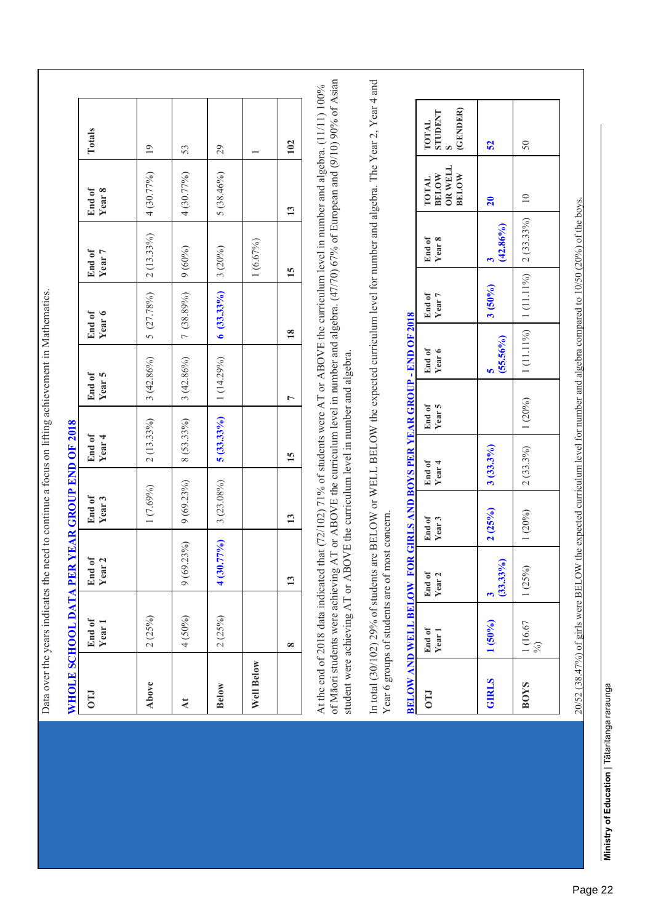|              |                                                                | WHOLE SCHOOL DATA PER YEAR GROUP END OF 2018                                                                                                                                                                                                                                                                                                                                                                                                                                                                                                                         |                                                                            |                             |                             |                             |                             |                             |                                                  |                                     |  |
|--------------|----------------------------------------------------------------|----------------------------------------------------------------------------------------------------------------------------------------------------------------------------------------------------------------------------------------------------------------------------------------------------------------------------------------------------------------------------------------------------------------------------------------------------------------------------------------------------------------------------------------------------------------------|----------------------------------------------------------------------------|-----------------------------|-----------------------------|-----------------------------|-----------------------------|-----------------------------|--------------------------------------------------|-------------------------------------|--|
| <b>CLO</b>   | End of<br>Year 1                                               | End of<br>Year 2                                                                                                                                                                                                                                                                                                                                                                                                                                                                                                                                                     | End of<br>Year <sub>3</sub>                                                | End of<br>Year <sub>4</sub> |                             | End of<br>Year <sub>5</sub> | End of<br>Year <sub>6</sub> | End of<br>Year 7            | End of<br>Year <sub>8</sub>                      | Totals                              |  |
| Above        | 2(25%)                                                         |                                                                                                                                                                                                                                                                                                                                                                                                                                                                                                                                                                      | 1(7.69%)                                                                   | $2(13.33\%)$                |                             | $3(42.86\%)$                | $5(27.78\%)$                | $2(13.33\%)$                | 4 (30.77%)                                       | $\overline{19}$                     |  |
| $\lambda t$  | 4 (50%)                                                        | $9(69.23\%)$                                                                                                                                                                                                                                                                                                                                                                                                                                                                                                                                                         | 9(69.23%)                                                                  | $8(53.33\%)$                |                             | $3(42.86\%)$                | 7 (38.89%)                  | 9(60%)                      | 4 (30.77%)                                       | 53                                  |  |
| <b>Below</b> | 2(25%)                                                         | $4(30.77\%)$                                                                                                                                                                                                                                                                                                                                                                                                                                                                                                                                                         | $3(23.08\%)$                                                               | $5(33.33\%)$                |                             | $1(14.29\%)$                | $6(33.33\%)$                | 3(20%)                      | $5(38.46\%)$                                     | 29                                  |  |
| Well Below   |                                                                |                                                                                                                                                                                                                                                                                                                                                                                                                                                                                                                                                                      |                                                                            |                             |                             |                             |                             | 1(6.67%)                    |                                                  |                                     |  |
|              | $\infty$                                                       | 13                                                                                                                                                                                                                                                                                                                                                                                                                                                                                                                                                                   | $\mathbf{13}$                                                              | $\overline{15}$             | 1                           |                             | $\overline{18}$             | $\overline{15}$             | 13                                               | 102                                 |  |
|              |                                                                | of Māori students were achieving AT or ABOVE the curriculum level in number and algebra. (47/70) 67% of European and (9/10) 90% of Asian<br>In total (30/102) 29% of students are BELOW or WELL BELOW the expected curriculum level for number and algebra. The Year 2, Year 4 and<br>At the end of 2018 data indicated that $(72/102)$ 71% of students were AT or ABOVE the curriculum level in number and algebra. (11/11) 100%<br>student were achieving AT or ABOVE the curriculum level in number and algebra.<br>Year 6 groups of students are of most concern |                                                                            |                             |                             |                             |                             |                             |                                                  |                                     |  |
| <b>CTO</b>   | <b>BELOW AND WELL BELOW FOR</b><br>End of<br>Year <sub>1</sub> | End of<br>Year <sub>2</sub>                                                                                                                                                                                                                                                                                                                                                                                                                                                                                                                                          | GIRLS AND BOYS PER YEAR GROUP - END OF 2018<br>End of<br>Year <sub>3</sub> | End of<br>Year 4            | End of<br>Year <sub>5</sub> | End of<br>Year <sub>6</sub> | End of<br>Year 7            | End of<br>Year <sub>8</sub> | OR WELL<br><b>BELOW</b><br><b>BELOW</b><br>TOTAL | (GENDER)<br><b>TNHULLS</b><br>TOTAL |  |
| <b>GIRLS</b> | $1(50\%)$                                                      | $(33.33\%)$<br>$\mathbf{c}$                                                                                                                                                                                                                                                                                                                                                                                                                                                                                                                                          | 2(25%)                                                                     | 3(33.3%)                    |                             | $(55.56\%)$<br>ю            | 3(50%)                      | $(42.86\%)$<br>3            | $\overline{20}$                                  | 52                                  |  |
| <b>BOYS</b>  | $\frac{1}{\%}$ (16.67                                          | 1 (25%)                                                                                                                                                                                                                                                                                                                                                                                                                                                                                                                                                              | 1(20%)                                                                     | 2(33.3%)                    | 1(20%)                      | 1 (11.11%)                  | 1 (11.11%)                  | 2(33.33%)                   | $\supseteq$                                      | 50                                  |  |
|              |                                                                |                                                                                                                                                                                                                                                                                                                                                                                                                                                                                                                                                                      |                                                                            |                             |                             |                             |                             |                             |                                                  |                                     |  |

Data over the years indicates the need to continue a focus on lifting achievement in Mathematics.

Data over the years indicates the need to continue a focus on lifting achievement in Mathematics.

**Ministry of Education | Tātaritanga raraunga** Ministry of Education | Tātaritanga raraunga

 $20/52$   $(38.47%)$  of girls were BELOW the expected curriculum level for number and algebra compared to  $10/50$   $(20%)$  of the boys.

 $20/52$  (38.47%) of girls were BELOW the expected curriculum level for number and algebra compared to 10/50 (20%) of the boys.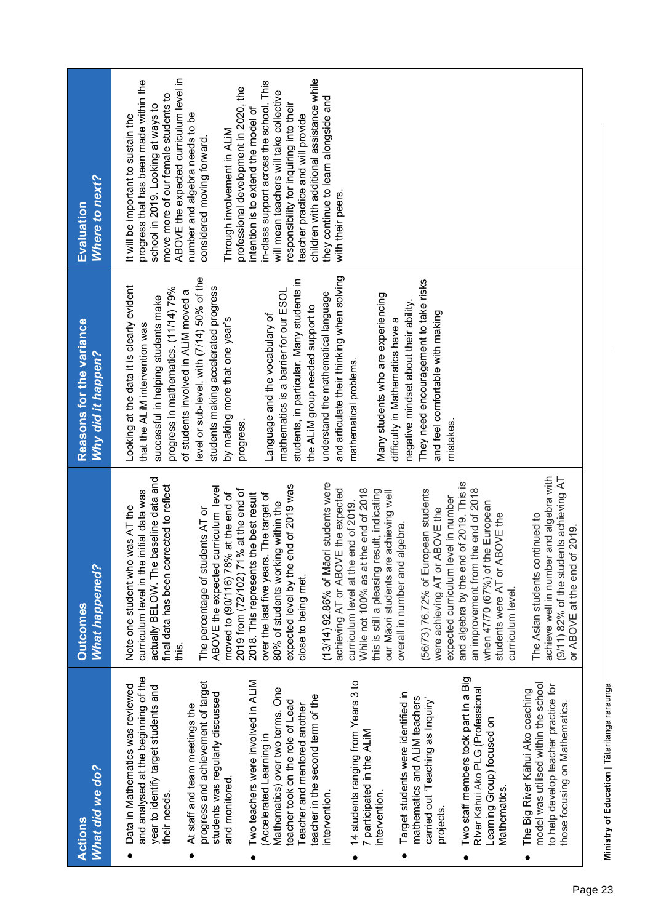| Where to next?<br>Evaluation                   | ABOVE the expected curriculum level in<br>children with additional assistance while<br>progress that has been made within the<br>in-class support across the school. This<br>professional development in 2020, the<br>will mean teachers will take collective<br>move more of our female students to<br>they continue to learn alongside and<br>responsibility for inquiring into their<br>school in 2019. Looking at ways to<br>intention is to extend the model of<br>number and algebra needs to be<br>It will be important to sustain the<br>teacher practice and will provide<br>Through involvement in ALIM<br>considered moving forward.<br>with their peers. |                                                                                                                                                                                                                                                                                                                                                                                                                                                                                                                                                                                                                                                                   |
|------------------------------------------------|----------------------------------------------------------------------------------------------------------------------------------------------------------------------------------------------------------------------------------------------------------------------------------------------------------------------------------------------------------------------------------------------------------------------------------------------------------------------------------------------------------------------------------------------------------------------------------------------------------------------------------------------------------------------|-------------------------------------------------------------------------------------------------------------------------------------------------------------------------------------------------------------------------------------------------------------------------------------------------------------------------------------------------------------------------------------------------------------------------------------------------------------------------------------------------------------------------------------------------------------------------------------------------------------------------------------------------------------------|
| Reasons for the variance<br>Why did it happen? | and articulate their thinking when solving<br>level or sub-level, with (7/14) 50% of the<br>students, in particular. Many students in<br>Looking at the data it is clearly evident<br>students making accelerated progress<br>progress in mathematics. (11/14) 79%<br>of students involved in ALiM moved a<br>mathematics is a barrier for our ESOL<br>understand the mathematical language<br>successful in helping students make<br>the ALIM group needed support to<br>Language and the vocabulary of<br>by making more that one year's<br>that the ALIM intervention was<br>progress.                                                                            | They need encouragement to take risks<br>Many students who are experiencing<br>negative mindset about their ability.<br>and feel comfortable with making<br>difficulty in Mathematics have a<br>mathematical problems.<br>mistakes.                                                                                                                                                                                                                                                                                                                                                                                                                               |
| What happened?<br><b>Outcomes</b>              | actually BELOW. The baseline data and<br>(13/14) 92.86% of Maori students were<br>final data has been corrected to reflect<br>expected level by the end of 2019 was<br>curriculum level<br>achieving AT or ABOVE the expected<br>2019 from (72/102) 71% at the end of<br>curriculum level in the initial data was<br>moved to (90/116) 78% at the end of<br>2018. This represents the best result<br>over the last five years. The target of<br>80% of students working within the<br>Note one student who was AT the<br>The percentage of students AT or<br>ABOVE the expected<br>close to being met.<br>this.                                                      | achieve well in number and algebra with<br>(9/11) 82% of the students achieving AT<br>and algebra by the end of 2019. This is<br>While not 100% as at the end of 2018<br>an improvement from the end of 2018<br>this is still a pleasing result, indicating<br>(56/73) 76.72% of European students<br>our Māori students are achieving well<br>expected curriculum level in number<br>curriculum level at the end of 2019.<br>when 47/70 (67%) of the European<br>were achieving AT or ABOVE the<br>ABOVE the<br>The Asian students continued to<br>overall in number and algebra.<br>of 2019.<br>or ABOVE at the end<br>students were AT or<br>curriculum level. |
| What did we do?<br><b>Actions</b>              | and analysed at the beginning of the<br>Two teachers were involved in ALIM<br>progress and achievement of target<br>Data in Mathematics was reviewed<br>year to identify target students and<br>Mathematics) over two terms. One<br>students was regularly discussed<br>teacher in the second term of the<br>teacher took on the role of Lead<br>At staff and team meetings the<br>Teacher and mentored another<br>(Accelerated Learning in<br>and monitored.<br>intervention.<br>their needs.                                                                                                                                                                       | Two staff members took part in a Big<br>14 students ranging from Years 3 to<br>model was utilised within the school<br>to help develop teacher practice for<br>River Kāhui Ako PLG (Professional<br>The Big River Kāhui Ako coaching<br>Target students were identified in<br>mathematics and ALIM teachers<br>carried out 'Teaching as Inquiry'<br>those focusing on Mathematics.<br>Learning Group) focused on<br>7 participated in the ALIM<br><b>Mathematics</b><br>intervention.<br>projects.                                                                                                                                                                |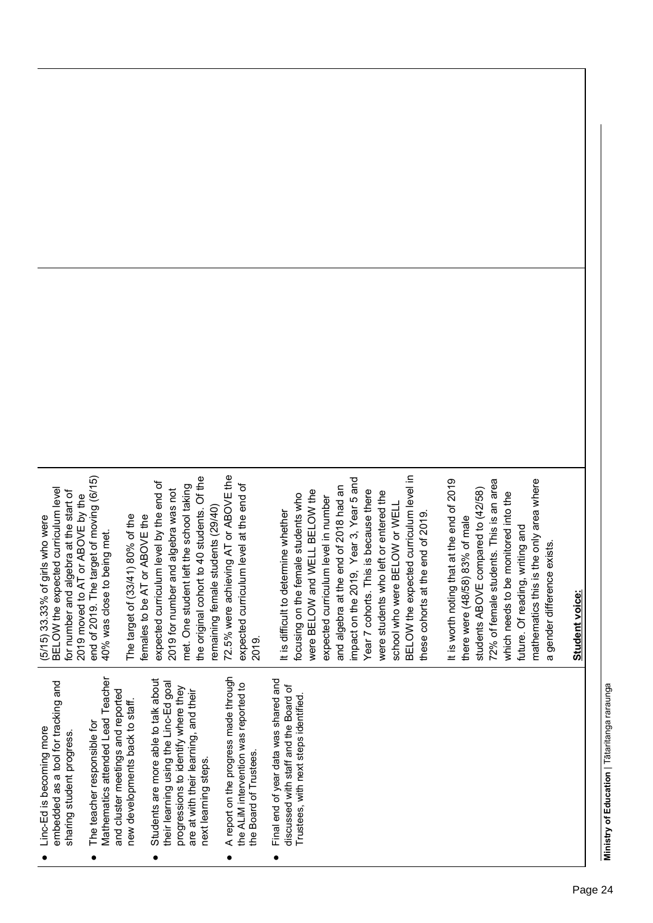| I<br>I |
|--------|
| í      |

**Student voice:**

Student voice:

| Linc-Ed is becoming more | embedded as a tool for tracking and | sharing student progress. |  |
|--------------------------|-------------------------------------|---------------------------|--|
|                          |                                     |                           |  |

- Mathematics attended Lead Teacher Mathematics attended Lead Teacher and cluster meetings and reported and cluster meetings and reported new developments back to staff. new developments back to staff. ● The teacher responsible for The teacher responsible for  $\bullet$
- Students are more able to talk about Students are more able to talk about their learning using the Linc-Ed goal their learning using the Linc-Ed goal progressions to identify where they progressions to identify where they are at with their learning, and their are at with their learning, and their next learning steps. next learning steps.  $\bullet$
- A report on the progress made through ● A report on the progress made through the ALIM intervention was reported to the ALiM intervention was reported to the Board of Trustees. the Board of Trustees.  $\bullet$
- Final end of year data was shared and Final end of year data was shared and discussed with staff and the Board of discussed with staff and the Board of Trustees, with next steps identified. Trustees, with next steps identified.  $\bullet$

end of 2019. The target of moving (6/15) end of 2019. The target of moving (6/15) BELOW the expected curriculum level BELOW the expected curriculum level for number and algebra at the start of for number and algebra at the start of 2019 moved to AT or ABOVE by the 2019 moved to AT or ABOVE by the 5/15) 33.33% of girls who were (5/15) 33.33% of girls who were 40% was close to being met. 40% was close to being met.

the original cohort to 40 students. Of the 72.5% were achieving AT or ABOVE the 72.5% were achieving AT or ABOVE the the original cohort to 40 students. Of the expected curriculum level by the end of expected curriculum level by the end of met. One student left the school taking expected curriculum level at the end of met. One student left the school taking expected curriculum level at the end of 2019 for number and algebra was not 2019 for number and algebra was not remaining female students (29/40) remaining female students (29/40) The target of (33/41) 80% of the The target of (33/41) 80% of the females to be AT or ABOVE the females to be AT or ABOVE the 2019.

BELOW the expected curriculum level in BELOW the expected curriculum level in impact on the 2019, Year 3, Year 5 and impact on the 2019, Year 3, Year 5 and and algebra at the end of 2018 had an and algebra at the end of 2018 had an were BELOW and WELL BELOW the were BELOW and WELL BELOW the Year 7 cohorts. This is because there Year 7 cohorts. This is because there were students who left or entered the were students who left or entered the focusing on the female students who focusing on the female students who expected curriculum level in number expected curriculum level in number school who were BELOW or WELL school who were BELOW or WELL It is difficult to determine whether It is difficult to determine whether these cohorts at the end of 2019. these cohorts at the end of 2019.

It is worth noting that at the end of 2019 72% of female students. This is an area mathematics this is the only area where It is worth noting that at the end of 2019 mathematics this is the only area where 72% of female students. This is an area students ABOVE compared to (42/58) students ABOVE compared to (42/58) which needs to be monitored into the which needs to be monitored into the there were (48/58) 83% of male there were (48/58) 83% of male future. Of reading, writing and future. Of reading, writing and a gender difference exists. a gender difference exists.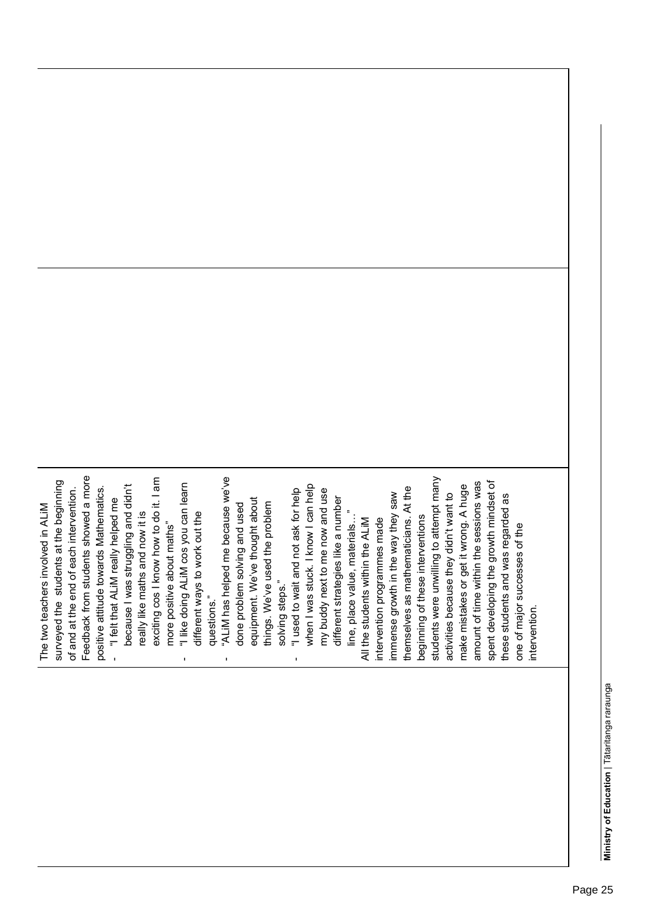| Feedback from students showed a more<br>"ALiM has helped me because we've<br>students were unwilling to attempt many<br>exciting cos I know how to do it. I am<br>surveyed the students at the beginning<br>amount of time within the sessions was<br>"I like doing ALIM cos you can learn<br>because I was struggling and didn't<br>when I was stuck. I know I can help<br>make mistakes or get it wrong. A huge<br>At the<br>"I used to wait and not ask for help<br>positive attitude towards Mathematics<br>my buddy next to me now and use<br>of and at the end of each intervention<br>immense growth in the way they saw<br>activities because they didn't want to<br>different strategies like a number<br>equipment. We've thought about<br>"I felt that ALIM really helped me<br>things. We've used the problem<br>done problem solving and used<br>The two teachers involved in ALIM<br>line, place value, materials"<br>really like maths and now it is<br>different ways to work out the<br>beginning of these interventions<br>themselves as mathematicians.<br>All the students within the ALIM<br>intervention programmes made<br>more positive about maths"<br>solving steps."<br>questions."<br>٠<br>٠<br>٠ | spent developing the growth mindset of<br>these students and was regarded as<br>one of major successes of the<br>intervention |
|-------------------------------------------------------------------------------------------------------------------------------------------------------------------------------------------------------------------------------------------------------------------------------------------------------------------------------------------------------------------------------------------------------------------------------------------------------------------------------------------------------------------------------------------------------------------------------------------------------------------------------------------------------------------------------------------------------------------------------------------------------------------------------------------------------------------------------------------------------------------------------------------------------------------------------------------------------------------------------------------------------------------------------------------------------------------------------------------------------------------------------------------------------------------------------------------------------------------------------|-------------------------------------------------------------------------------------------------------------------------------|

Page 25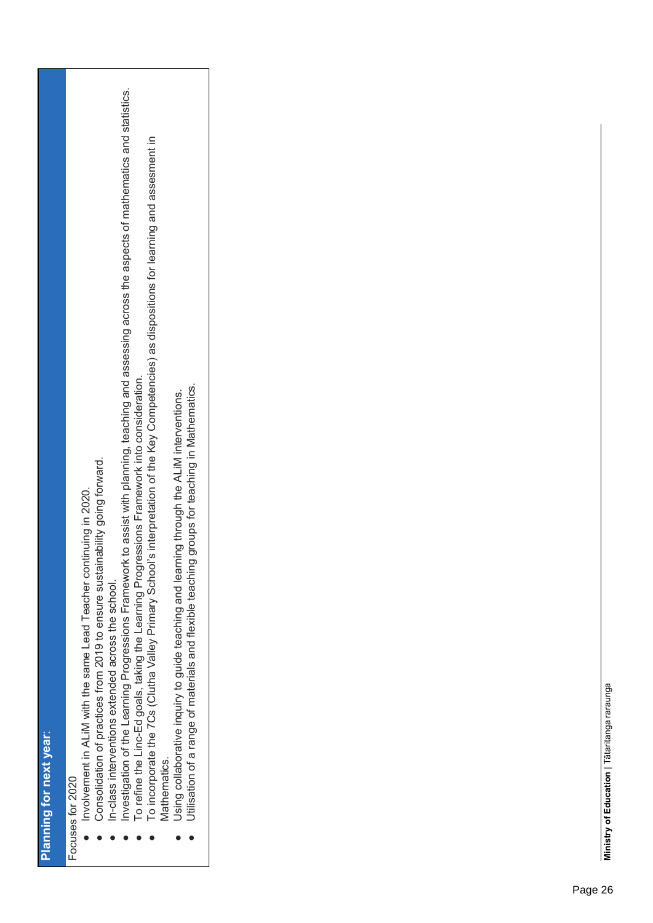| þ                                                               |  |
|-----------------------------------------------------------------|--|
| ľ<br>ちくら<br>i<br>ׅ֖֖֧֚֚֚֚֚֚֚֚֚֚֚֚֚֚֚֚֚֚֚֚֚֚֚֚֚֡֡֡֡֡֡֬֓֡֡֡֬֓֝֓֡֬ |  |
| Į                                                               |  |
| ï<br>ļ<br>Í                                                     |  |
| l<br>i<br>I                                                     |  |

Focuses for 2020 Focuses for 2020

- Involvement in ALiM with the same Lead Teacher continuing in 2020. Involvement in ALIM with the same Lead Teacher continuing in 2020.
- Consolidation of practices from 2019 to ensure sustainability going forward. Consolidation of practices from 2019 to ensure sustainability going forward.
	- In-class interventions extended across the school. ● In-class interventions extended across the school.
- Investigation of the Learning Progressions Framework to assist with planning, teaching and assessing across the aspects of mathematics and statistics. ● Investigation of the Learning Progressions Framework to assist with planning, teaching and assessing across the aspects of mathematics and statistics.
	- To refine the Linc-Ed goals, taking the Learning Progressions Framework into consideration.<br>To incorporate the 7Cs (Clutha Valley Primary School's interpretation of the Key Competencies) as dispositions for learning and as ● To refine the Linc-Ed goals, taking the Learning Progressions Framework into consideration.
		- To incorporate the 7Cs (Clutha Valley Primary School's interpretation of the Key Competencies) as dispositions for learning and assesment in Mathematics. Mathematics.
			- Using collaborative inquiry to guide teaching and learning through the ALiM interventions. ● Using collaborative inquiry to guide teaching and learning through the ALiM interventions.
				- Utilisation of a range of materials and flexible teaching groups for teaching in Mathematics. Utilisation of a range of materials and flexible teaching groups for teaching in Mathematics.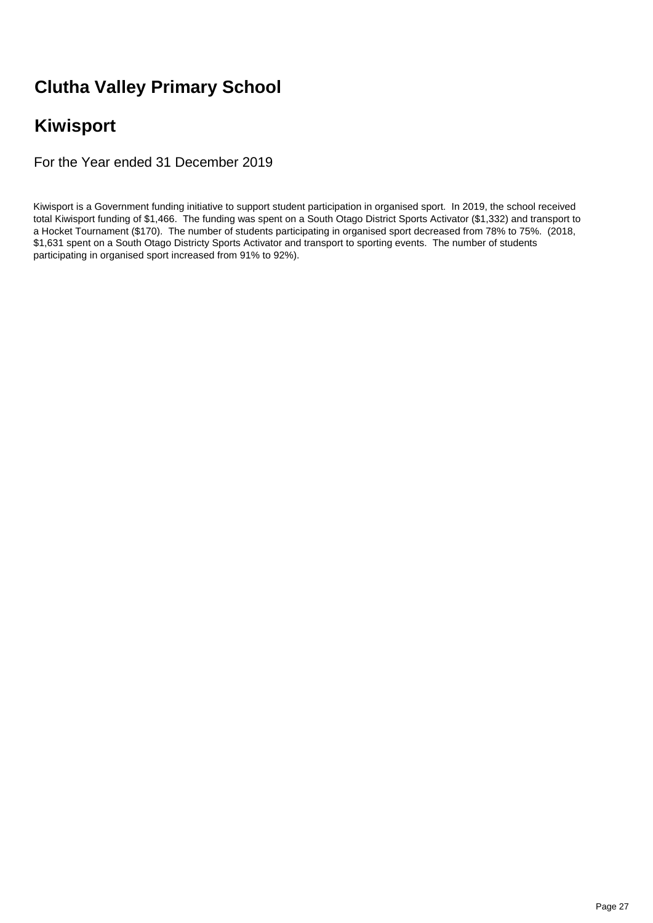## **Clutha Valley Primary School**

## **Kiwisport**

For the Year ended 31 December 2019

Kiwisport is a Government funding initiative to support student participation in organised sport. In 2019, the school received total Kiwisport funding of \$1,466. The funding was spent on a South Otago District Sports Activator (\$1,332) and transport to a Hocket Tournament (\$170). The number of students participating in organised sport decreased from 78% to 75%. (2018, \$1,631 spent on a South Otago Districty Sports Activator and transport to sporting events. The number of students participating in organised sport increased from 91% to 92%).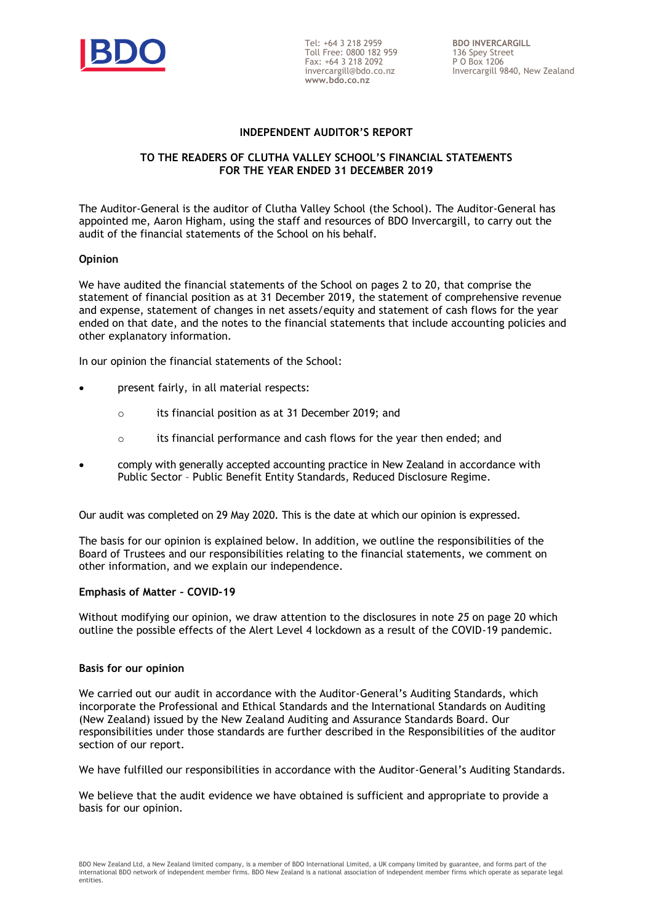

Tel: +64 3 218 2959 Toll Free: 0800 182 959 Fax: +64 3 218 2092 invercargill@bdo.co.nz **www.bdo.co.nz**

#### **INDEPENDENT AUDITOR'S REPORT**

#### **TO THE READERS OF CLUTHA VALLEY SCHOOL'S FINANCIAL STATEMENTS FOR THE YEAR ENDED 31 DECEMBER 2019**

The Auditor-General is the auditor of Clutha Valley School (the School). The Auditor-General has appointed me, Aaron Higham, using the staff and resources of BDO Invercargill, to carry out the audit of the financial statements of the School on his behalf.

#### **Opinion**

We have audited the financial statements of the School on pages 2 to 20, that comprise the statement of financial position as at 31 December 2019, the statement of comprehensive revenue and expense, statement of changes in net assets/equity and statement of cash flows for the year ended on that date, and the notes to the financial statements that include accounting policies and other explanatory information.

In our opinion the financial statements of the School:

- present fairly, in all material respects:
	- o its financial position as at 31 December 2019; and
	- $\circ$  its financial performance and cash flows for the year then ended; and
- comply with generally accepted accounting practice in New Zealand in accordance with Public Sector – Public Benefit Entity Standards, Reduced Disclosure Regime.

Our audit was completed on 29 May 2020. This is the date at which our opinion is expressed.

The basis for our opinion is explained below. In addition, we outline the responsibilities of the Board of Trustees and our responsibilities relating to the financial statements, we comment on other information, and we explain our independence.

#### **Emphasis of Matter – COVID-19**

Without modifying our opinion, we draw attention to the disclosures in note *25* on page 20 which outline the possible effects of the Alert Level 4 lockdown as a result of the COVID-19 pandemic.

#### **Basis for our opinion**

We carried out our audit in accordance with the Auditor-General's Auditing Standards, which incorporate the Professional and Ethical Standards and the International Standards on Auditing (New Zealand) issued by the New Zealand Auditing and Assurance Standards Board. Our responsibilities under those standards are further described in the Responsibilities of the auditor section of our report.

We have fulfilled our responsibilities in accordance with the Auditor-General's Auditing Standards.

We believe that the audit evidence we have obtained is sufficient and appropriate to provide a basis for our opinion.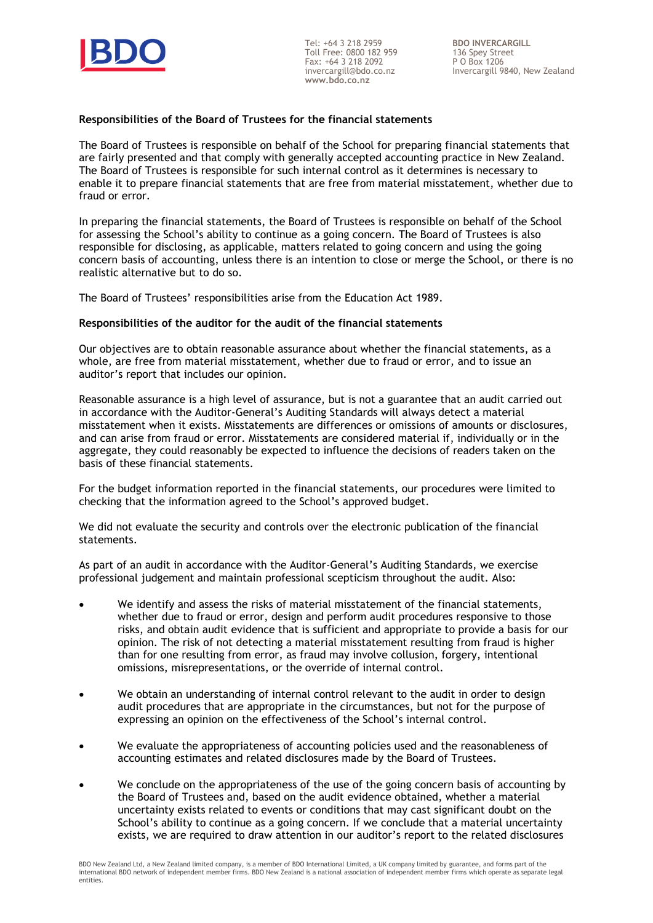

Tel: +64 3 218 2959 Toll Free: 0800 182 959 Fax: +64 3 218 2092 invercargill@bdo.co.nz **www.bdo.co.nz**

**BDO INVERCARGILL** 136 Spey Street P O Box 1206 Invercargill 9840, New Zealand

#### **Responsibilities of the Board of Trustees for the financial statements**

The Board of Trustees is responsible on behalf of the School for preparing financial statements that are fairly presented and that comply with generally accepted accounting practice in New Zealand. The Board of Trustees is responsible for such internal control as it determines is necessary to enable it to prepare financial statements that are free from material misstatement, whether due to fraud or error.

In preparing the financial statements, the Board of Trustees is responsible on behalf of the School for assessing the School's ability to continue as a going concern. The Board of Trustees is also responsible for disclosing, as applicable, matters related to going concern and using the going concern basis of accounting, unless there is an intention to close or merge the School, or there is no realistic alternative but to do so.

The Board of Trustees' responsibilities arise from the Education Act 1989.

#### **Responsibilities of the auditor for the audit of the financial statements**

Our objectives are to obtain reasonable assurance about whether the financial statements, as a whole, are free from material misstatement, whether due to fraud or error, and to issue an auditor's report that includes our opinion.

Reasonable assurance is a high level of assurance, but is not a guarantee that an audit carried out in accordance with the Auditor-General's Auditing Standards will always detect a material misstatement when it exists. Misstatements are differences or omissions of amounts or disclosures, and can arise from fraud or error. Misstatements are considered material if, individually or in the aggregate, they could reasonably be expected to influence the decisions of readers taken on the basis of these financial statements.

For the budget information reported in the financial statements, our procedures were limited to checking that the information agreed to the School's approved budget.

We did not evaluate the security and controls over the electronic publication of the financial statements.

As part of an audit in accordance with the Auditor-General's Auditing Standards, we exercise professional judgement and maintain professional scepticism throughout the audit. Also:

- We identify and assess the risks of material misstatement of the financial statements, whether due to fraud or error, design and perform audit procedures responsive to those risks, and obtain audit evidence that is sufficient and appropriate to provide a basis for our opinion. The risk of not detecting a material misstatement resulting from fraud is higher than for one resulting from error, as fraud may involve collusion, forgery, intentional omissions, misrepresentations, or the override of internal control.
- We obtain an understanding of internal control relevant to the audit in order to design audit procedures that are appropriate in the circumstances, but not for the purpose of expressing an opinion on the effectiveness of the School's internal control.
- We evaluate the appropriateness of accounting policies used and the reasonableness of accounting estimates and related disclosures made by the Board of Trustees.
- We conclude on the appropriateness of the use of the going concern basis of accounting by the Board of Trustees and, based on the audit evidence obtained, whether a material uncertainty exists related to events or conditions that may cast significant doubt on the School's ability to continue as a going concern. If we conclude that a material uncertainty exists, we are required to draw attention in our auditor's report to the related disclosures